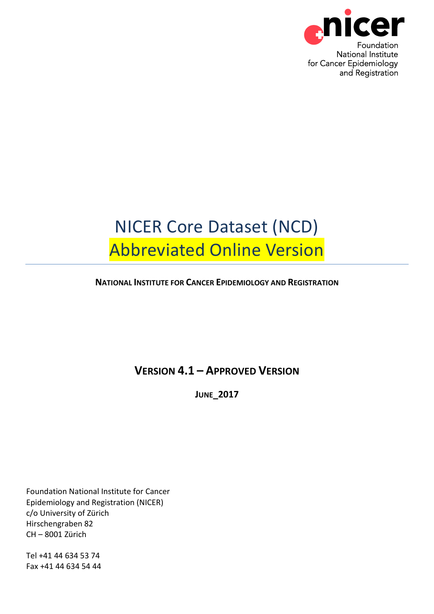

# NICER Core Dataset (NCD) Abbreviated Online Version

## **NATIONAL INSTITUTE FOR CANCER EPIDEMIOLOGY AND REGISTRATION**

# **VERSION 4.1 – APPROVED VERSION**

**JUNE\_2017**

Foundation National Institute for Cancer Epidemiology and Registration (NICER) c/o University of Zürich Hirschengraben 82 CH – 8001 Zürich

Tel +41 44 634 53 74 Fax +41 44 634 54 44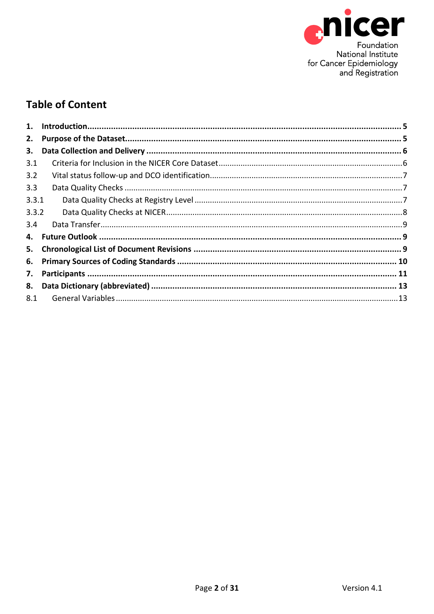

# **Table of Content**

| 1.    |  |
|-------|--|
| 2.    |  |
| 3.    |  |
| 3.1   |  |
| 3.2   |  |
| 3.3   |  |
| 3.3.1 |  |
| 3.3.2 |  |
| 3.4   |  |
| 4.    |  |
| 5.    |  |
| 6.    |  |
| 7.    |  |
|       |  |
| 8.1   |  |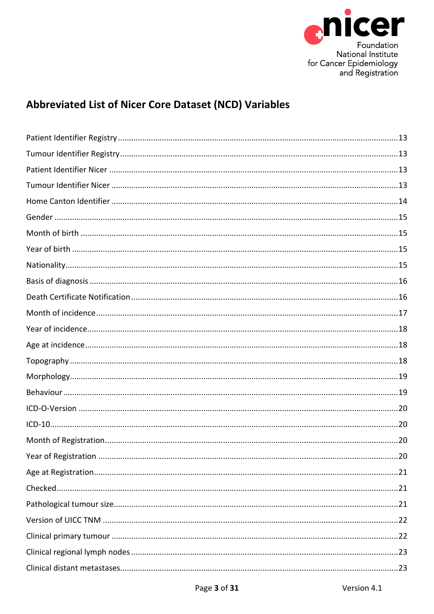

# **Abbreviated List of Nicer Core Dataset (NCD) Variables**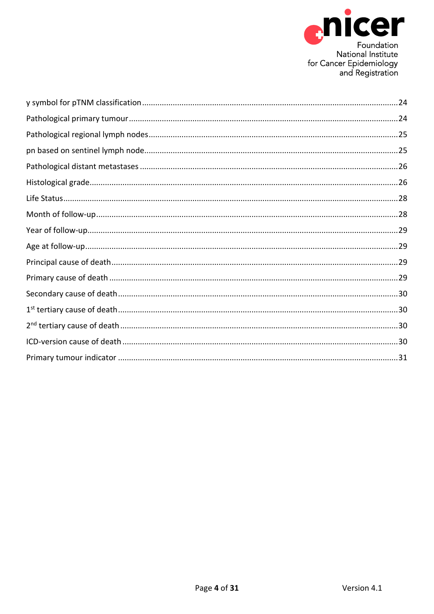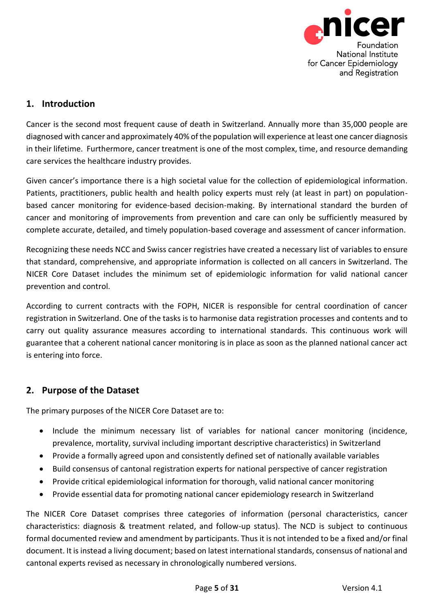

# <span id="page-4-0"></span>**1. Introduction**

Cancer is the second most frequent cause of death in Switzerland. Annually more than 35,000 people are diagnosed with cancer and approximately 40% of the population will experience at least one cancer diagnosis in their lifetime. Furthermore, cancer treatment is one of the most complex, time, and resource demanding care services the healthcare industry provides.

Given cancer's importance there is a high societal value for the collection of epidemiological information. Patients, practitioners, public health and health policy experts must rely (at least in part) on populationbased cancer monitoring for evidence-based decision-making. By international standard the burden of cancer and monitoring of improvements from prevention and care can only be sufficiently measured by complete accurate, detailed, and timely population-based coverage and assessment of cancer information.

Recognizing these needs NCC and Swiss cancer registries have created a necessary list of variables to ensure that standard, comprehensive, and appropriate information is collected on all cancers in Switzerland. The NICER Core Dataset includes the minimum set of epidemiologic information for valid national cancer prevention and control.

According to current contracts with the FOPH, NICER is responsible for central coordination of cancer registration in Switzerland. One of the tasks is to harmonise data registration processes and contents and to carry out quality assurance measures according to international standards. This continuous work will guarantee that a coherent national cancer monitoring is in place as soon as the planned national cancer act is entering into force.

## <span id="page-4-1"></span>**2. Purpose of the Dataset**

The primary purposes of the NICER Core Dataset are to:

- Include the minimum necessary list of variables for national cancer monitoring (incidence, prevalence, mortality, survival including important descriptive characteristics) in Switzerland
- Provide a formally agreed upon and consistently defined set of nationally available variables
- Build consensus of cantonal registration experts for national perspective of cancer registration
- Provide critical epidemiological information for thorough, valid national cancer monitoring
- Provide essential data for promoting national cancer epidemiology research in Switzerland

The NICER Core Dataset comprises three categories of information (personal characteristics, cancer characteristics: diagnosis & treatment related, and follow-up status). The NCD is subject to continuous formal documented review and amendment by participants. Thus it is not intended to be a fixed and/or final document. It is instead a living document; based on latest international standards, consensus of national and cantonal experts revised as necessary in chronologically numbered versions.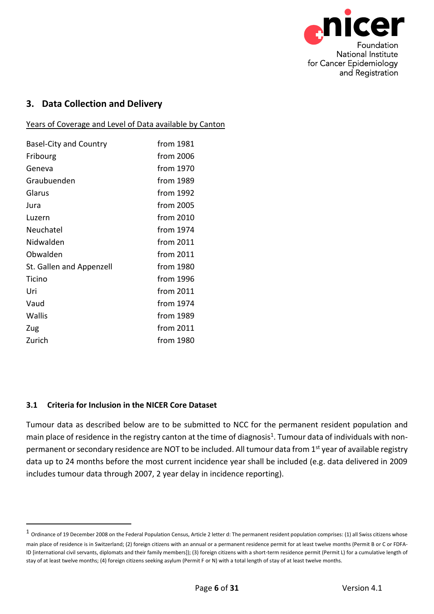

## <span id="page-5-0"></span>**3. Data Collection and Delivery**

Years of Coverage and Level of Data available by Canton

| <b>Basel-City and Country</b> | from 1981   |
|-------------------------------|-------------|
| Fribourg                      | from 2006   |
| Geneva                        | from 1970   |
| Graubuenden                   | from 1989   |
| Glarus                        | from 1992   |
| Jura                          | from 2005   |
| Luzern                        | from 2010   |
| Neuchatel                     | from 1974   |
| Nidwalden                     | from 2011   |
| Obwalden                      | from 2011   |
| St. Gallen and Appenzell      | from 1980   |
| Ticino                        | from 1996   |
| Uri                           | from 2011   |
| Vaud                          | from 1974   |
| Wallis                        | from 1989   |
| Zug                           | from $2011$ |
| Zurich                        | from 1980   |

#### <span id="page-5-1"></span>**3.1 Criteria for Inclusion in the NICER Core Dataset**

-

Tumour data as described below are to be submitted to NCC for the permanent resident population and main place of residence in the registry canton at the time of diagnosis<sup>1</sup>. Tumour data of individuals with nonpermanent or secondary residence are NOT to be included. All tumour data from 1<sup>st</sup> year of available registry data up to 24 months before the most current incidence year shall be included (e.g. data delivered in 2009 includes tumour data through 2007, 2 year delay in incidence reporting).

 $1$  Ordinance of 19 December 2008 on the Federal Population Census, Article 2 letter d: The permanent resident population comprises: (1) all Swiss citizens whose main place of residence is in Switzerland; (2) foreign citizens with an annual or a permanent residence permit for at least twelve months (Permit B or C or FDFA-ID [international civil servants, diplomats and their family members]); (3) foreign citizens with a short-term residence permit (Permit L) for a cumulative length of stay of at least twelve months; (4) foreign citizens seeking asylum (Permit F or N) with a total length of stay of at least twelve months.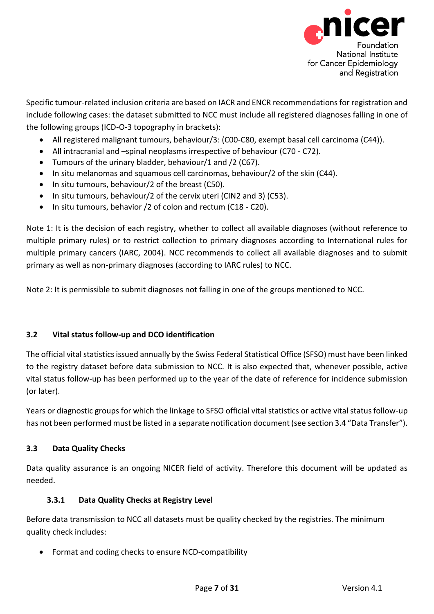

Specific tumour-related inclusion criteria are based on IACR and ENCR recommendations for registration and include following cases: the dataset submitted to NCC must include all registered diagnoses falling in one of the following groups (ICD-O-3 topography in brackets):

- All registered malignant tumours, behaviour/3: (C00-C80, exempt basal cell carcinoma (C44)).
- All intracranial and –spinal neoplasms irrespective of behaviour (C70 C72).
- Tumours of the urinary bladder, behaviour/1 and /2 (C67).
- In situ melanomas and squamous cell carcinomas, behaviour/2 of the skin (C44).
- In situ tumours, behaviour/2 of the breast (C50).
- In situ tumours, behaviour/2 of the cervix uteri (CIN2 and 3) (C53).
- In situ tumours, behavior /2 of colon and rectum (C18 C20).

Note 1: It is the decision of each registry, whether to collect all available diagnoses (without reference to multiple primary rules) or to restrict collection to primary diagnoses according to International rules for multiple primary cancers (IARC, 2004). NCC recommends to collect all available diagnoses and to submit primary as well as non-primary diagnoses (according to IARC rules) to NCC.

Note 2: It is permissible to submit diagnoses not falling in one of the groups mentioned to NCC.

#### <span id="page-6-0"></span>**3.2 Vital status follow-up and DCO identification**

The official vital statistics issued annually by the Swiss Federal Statistical Office (SFSO) must have been linked to the registry dataset before data submission to NCC. It is also expected that, whenever possible, active vital status follow-up has been performed up to the year of the date of reference for incidence submission (or later).

Years or diagnostic groups for which the linkage to SFSO official vital statistics or active vital status follow-up has not been performed must be listed in a separate notification document (see section 3.4 "Data Transfer").

#### <span id="page-6-1"></span>**3.3 Data Quality Checks**

Data quality assurance is an ongoing NICER field of activity. Therefore this document will be updated as needed.

#### **3.3.1 Data Quality Checks at Registry Level**

<span id="page-6-2"></span>Before data transmission to NCC all datasets must be quality checked by the registries. The minimum quality check includes:

Format and coding checks to ensure NCD-compatibility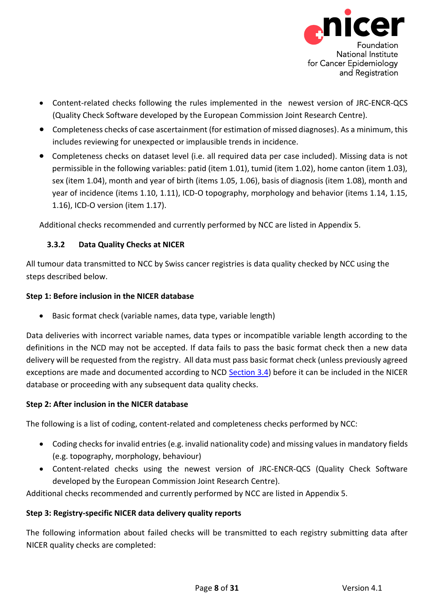

- Content-related checks following the rules implemented in the newest version of JRC-ENCR-QCS (Quality Check Software developed by the European Commission Joint Research Centre).
- Completeness checks of case ascertainment (for estimation of missed diagnoses). As a minimum, this includes reviewing for unexpected or implausible trends in incidence.
- Completeness checks on dataset level (i.e. all required data per case included). Missing data is not permissible in the following variables: patid (item 1.01), tumid (item 1.02), home canton (item 1.03), sex (item 1.04), month and year of birth (items 1.05, 1.06), basis of diagnosis (item 1.08), month and year of incidence (items 1.10, 1.11), ICD-O topography, morphology and behavior (items 1.14, 1.15, 1.16), ICD-O version (item 1.17).

Additional checks recommended and currently performed by NCC are listed in Appendix 5.

#### **3.3.2 Data Quality Checks at NICER**

<span id="page-7-0"></span>All tumour data transmitted to NCC by Swiss cancer registries is data quality checked by NCC using the steps described below.

#### **Step 1: Before inclusion in the NICER database**

Basic format check (variable names, data type, variable length)

Data deliveries with incorrect variable names, data types or incompatible variable length according to the definitions in the NCD may not be accepted. If data fails to pass the basic format check then a new data delivery will be requested from the registry. All data must pass basic format check (unless previously agreed exceptions are made and documented according to NCD [Section 3.4\)](#page-8-0) before it can be included in the NICER database or proceeding with any subsequent data quality checks.

#### **Step 2: After inclusion in the NICER database**

The following is a list of coding, content-related and completeness checks performed by NCC:

- Coding checks for invalid entries (e.g. invalid nationality code) and missing values in mandatory fields (e.g. topography, morphology, behaviour)
- Content-related checks using the newest version of JRC-ENCR-QCS (Quality Check Software developed by the European Commission Joint Research Centre).

Additional checks recommended and currently performed by NCC are listed in Appendix 5.

#### **Step 3: Registry-specific NICER data delivery quality reports**

The following information about failed checks will be transmitted to each registry submitting data after NICER quality checks are completed: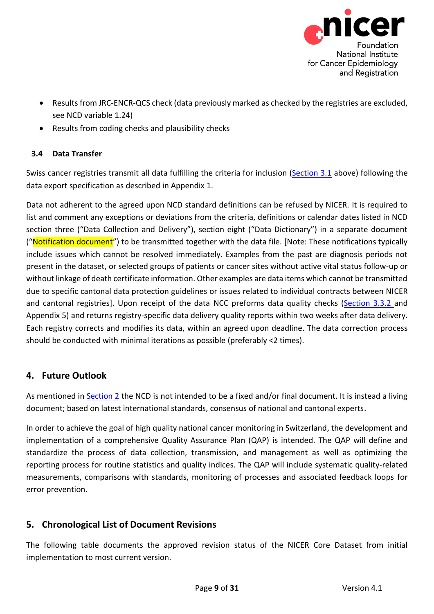

- Results from JRC-ENCR-QCS check (data previously marked as checked by the registries are excluded, see NCD variable 1.24)
- Results from coding checks and plausibility checks

## <span id="page-8-0"></span>**3.4 Data Transfer**

Swiss cancer registries transmit all data fulfilling the criteria for inclusion [\(Section 3.1](#page-5-1) above) following the data export specification as described in Appendix 1.

Data not adherent to the agreed upon NCD standard definitions can be refused by NICER. It is required to list and comment any exceptions or deviations from the criteria, definitions or calendar dates listed in NCD section three ("Data Collection and Delivery"), section eight ("Data Dictionary") in a separate document ("Notification document") to be transmitted together with the data file. [Note: These notifications typically include issues which cannot be resolved immediately. Examples from the past are diagnosis periods not present in the dataset, or selected groups of patients or cancer sites without active vital status follow-up or without linkage of death certificate information. Other examples are data items which cannot be transmitted due to specific cantonal data protection guidelines or issues related to individual contracts between NICER and cantonal registries]. Upon receipt of the data NCC preforms data quality checks [\(Section 3.3.2](#page-7-0) and Appendix 5) and returns registry-specific data delivery quality reports within two weeks after data delivery. Each registry corrects and modifies its data, within an agreed upon deadline. The data correction process should be conducted with minimal iterations as possible (preferably <2 times).

# <span id="page-8-1"></span>**4. Future Outlook**

As mentioned in [Section 2](#page-4-1) the NCD is not intended to be a fixed and/or final document. It is instead a living document; based on latest international standards, consensus of national and cantonal experts.

In order to achieve the goal of high quality national cancer monitoring in Switzerland, the development and implementation of a comprehensive Quality Assurance Plan (QAP) is intended. The QAP will define and standardize the process of data collection, transmission, and management as well as optimizing the reporting process for routine statistics and quality indices. The QAP will include systematic quality-related measurements, comparisons with standards, monitoring of processes and associated feedback loops for error prevention.

# <span id="page-8-2"></span>**5. Chronological List of Document Revisions**

The following table documents the approved revision status of the NICER Core Dataset from initial implementation to most current version.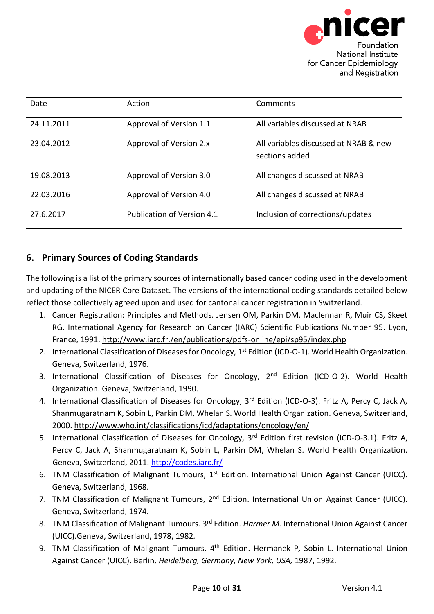

| Date       | Action                     | Comments                                                |
|------------|----------------------------|---------------------------------------------------------|
| 24.11.2011 | Approval of Version 1.1    | All variables discussed at NRAB                         |
| 23.04.2012 | Approval of Version 2.x    | All variables discussed at NRAB & new<br>sections added |
| 19.08.2013 | Approval of Version 3.0    | All changes discussed at NRAB                           |
| 22.03.2016 | Approval of Version 4.0    | All changes discussed at NRAB                           |
| 27.6.2017  | Publication of Version 4.1 | Inclusion of corrections/updates                        |

# <span id="page-9-0"></span>**6. Primary Sources of Coding Standards**

The following is a list of the primary sources of internationally based cancer coding used in the development and updating of the NICER Core Dataset. The versions of the international coding standards detailed below reflect those collectively agreed upon and used for cantonal cancer registration in Switzerland.

- 1. Cancer Registration: Principles and Methods. Jensen OM, Parkin DM, Maclennan R, Muir CS, Skeet RG. International Agency for Research on Cancer (IARC) Scientific Publications Number 95. Lyon, France, 1991.<http://www.iarc.fr./en/publications/pdfs-online/epi/sp95/index.php>
- 2. International Classification of Diseases for Oncology, 1<sup>st</sup> Edition (ICD-O-1). World Health Organization. Geneva, Switzerland, 1976.
- 3. International Classification of Diseases for Oncology, 2<sup>nd</sup> Edition (ICD-O-2). World Health Organization. Geneva, Switzerland, 1990.
- 4. International Classification of Diseases for Oncology, 3<sup>rd</sup> Edition (ICD-O-3). Fritz A, Percy C, Jack A, Shanmugaratnam K, Sobin L, Parkin DM, Whelan S. World Health Organization. Geneva, Switzerland, 2000.<http://www.who.int/classifications/icd/adaptations/oncology/en/>
- 5. International Classification of Diseases for Oncology, 3<sup>rd</sup> Edition first revision (ICD-O-3.1). Fritz A, Percy C, Jack A, Shanmugaratnam K, Sobin L, Parkin DM, Whelan S. World Health Organization. Geneva, Switzerland, 2011.<http://codes.iarc.fr/>
- 6. TNM Classification of Malignant Tumours, 1<sup>st</sup> Edition. International Union Against Cancer (UICC). Geneva, Switzerland, 1968.
- 7. TNM Classification of Malignant Tumours, 2<sup>nd</sup> Edition. International Union Against Cancer (UICC). Geneva, Switzerland, 1974.
- 8. TNM Classification of Malignant Tumours. 3<sup>rd</sup> Edition. *Harmer M.* International Union Against Cancer (UICC).Geneva, Switzerland, 1978, 1982*.*
- 9. TNM Classification of Malignant Tumours. 4<sup>th</sup> Edition. Hermanek P, Sobin L. International Union Against Cancer (UICC). Berlin*, Heidelberg, Germany, New York, USA,* 1987, 1992*.*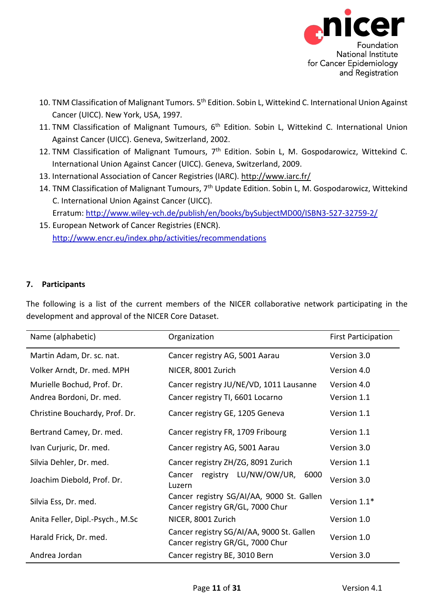

- 10. TNM Classification of Malignant Tumors. 5<sup>th</sup> Edition. Sobin L, Wittekind C. International Union Against Cancer (UICC). New York, USA, 1997*.*
- 11. TNM Classification of Malignant Tumours, 6<sup>th</sup> Edition. Sobin L, Wittekind C. International Union Against Cancer (UICC). Geneva, Switzerland, 2002.
- 12. TNM Classification of Malignant Tumours, 7<sup>th</sup> Edition. Sobin L, M. Gospodarowicz, Wittekind C. International Union Against Cancer (UICC). Geneva, Switzerland, 2009.
- 13. International Association of Cancer Registries (IARC).<http://www.iarc.fr/>
- 14. TNM Classification of Malignant Tumours, 7<sup>th</sup> Update Edition. Sobin L, M. Gospodarowicz, Wittekind C. International Union Against Cancer (UICC). Erratum:<http://www.wiley-vch.de/publish/en/books/bySubjectMD00/ISBN3-527-32759-2/>
- 15. European Network of Cancer Registries (ENCR). <http://www.encr.eu/index.php/activities/recommendations>

#### <span id="page-10-0"></span>**7. Participants**

The following is a list of the current members of the NICER collaborative network participating in the development and approval of the NICER Core Dataset.

| Name (alphabetic)                | Organization                                                                  | <b>First Participation</b> |
|----------------------------------|-------------------------------------------------------------------------------|----------------------------|
| Martin Adam, Dr. sc. nat.        | Cancer registry AG, 5001 Aarau                                                | Version 3.0                |
| Volker Arndt, Dr. med. MPH       | NICER, 8001 Zurich                                                            | Version 4.0                |
| Murielle Bochud, Prof. Dr.       | Cancer registry JU/NE/VD, 1011 Lausanne                                       | Version 4.0                |
| Andrea Bordoni, Dr. med.         | Cancer registry TI, 6601 Locarno                                              | Version 1.1                |
| Christine Bouchardy, Prof. Dr.   | Cancer registry GE, 1205 Geneva                                               | Version 1.1                |
| Bertrand Camey, Dr. med.         | Cancer registry FR, 1709 Fribourg                                             | Version 1.1                |
| Ivan Curjuric, Dr. med.          | Cancer registry AG, 5001 Aarau                                                | Version 3.0                |
| Silvia Dehler, Dr. med.          | Cancer registry ZH/ZG, 8091 Zurich                                            | Version 1.1                |
| Joachim Diebold, Prof. Dr.       | registry LU/NW/OW/UR,<br>6000<br>Cancer<br>Luzern                             | Version 3.0                |
| Silvia Ess, Dr. med.             | Cancer registry SG/AI/AA, 9000 St. Gallen<br>Cancer registry GR/GL, 7000 Chur | Version 1.1*               |
| Anita Feller, Dipl.-Psych., M.Sc | NICER, 8001 Zurich                                                            | Version 1.0                |
| Harald Frick, Dr. med.           | Cancer registry SG/AI/AA, 9000 St. Gallen<br>Cancer registry GR/GL, 7000 Chur | Version 1.0                |
| Andrea Jordan                    | Cancer registry BE, 3010 Bern                                                 | Version 3.0                |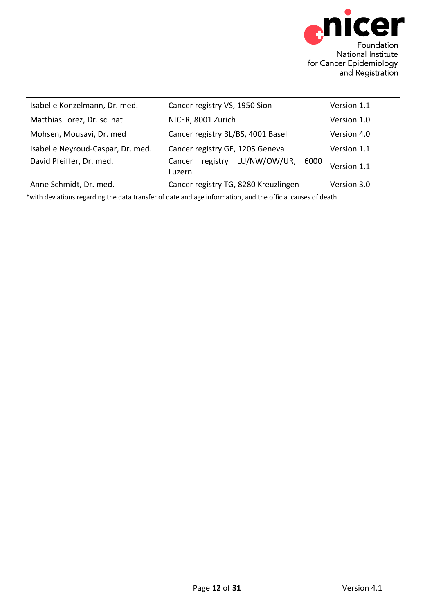

| Isabelle Konzelmann, Dr. med.     | Cancer registry VS, 1950 Sion                        | Version 1.1 |
|-----------------------------------|------------------------------------------------------|-------------|
| Matthias Lorez, Dr. sc. nat.      | NICER, 8001 Zurich                                   | Version 1.0 |
| Mohsen, Mousavi, Dr. med          | Cancer registry BL/BS, 4001 Basel                    | Version 4.0 |
| Isabelle Neyroud-Caspar, Dr. med. | Cancer registry GE, 1205 Geneva                      | Version 1.1 |
| David Pfeiffer, Dr. med.          | LU/NW/OW/UR,<br>registry<br>6000<br>Cancer<br>Luzern | Version 1.1 |
| Anne Schmidt, Dr. med.            | Cancer registry TG, 8280 Kreuzlingen                 | Version 3.0 |

\*with deviations regarding the data transfer of date and age information, and the official causes of death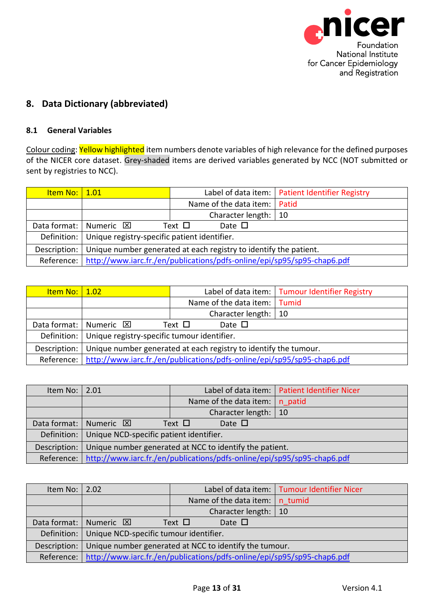<span id="page-12-2"></span>

# <span id="page-12-0"></span>**8. Data Dictionary (abbreviated)**

#### <span id="page-12-1"></span>**8.1 General Variables**

Colour coding: Yellow highlighted item numbers denote variables of high relevance for the defined purposes of the NICER core dataset. Grey-shaded items are derived variables generated by NCC (NOT submitted or sent by registries to NCC).

| <u>Item No:   1.01</u> |                                                                         |                                | Label of data item:   Patient Identifier Registry |  |  |
|------------------------|-------------------------------------------------------------------------|--------------------------------|---------------------------------------------------|--|--|
|                        |                                                                         | Name of the data item:   Patid |                                                   |  |  |
|                        |                                                                         | Character length:   10         |                                                   |  |  |
|                        | Data format: Numeric $\boxtimes$                                        | Date $\Box$<br>Text $\Box$     |                                                   |  |  |
|                        | Definition:   Unique registry-specific patient identifier.              |                                |                                                   |  |  |
| Description:           | Unique number generated at each registry to identify the patient.       |                                |                                                   |  |  |
| Reference:             | http://www.iarc.fr./en/publications/pdfs-online/epi/sp95/sp95-chap6.pdf |                                |                                                   |  |  |

<span id="page-12-3"></span>

| <u>Item No:   1.02</u> |                                                                         |             |                              | Label of data item:   Tumour Identifier Registry |  |
|------------------------|-------------------------------------------------------------------------|-------------|------------------------------|--------------------------------------------------|--|
|                        |                                                                         |             | Name of the data item: Tumid |                                                  |  |
|                        |                                                                         |             | Character length:   10       |                                                  |  |
|                        | Data format: Numeric $\boxtimes$                                        | Text $\Box$ | Date $\Box$                  |                                                  |  |
| Definition:            | Unique registry-specific tumour identifier.                             |             |                              |                                                  |  |
| Description:           | Unique number generated at each registry to identify the tumour.        |             |                              |                                                  |  |
| Reference:             | http://www.iarc.fr./en/publications/pdfs-online/epi/sp95/sp95-chap6.pdf |             |                              |                                                  |  |

<span id="page-12-4"></span>

| Item No: $\vert 2.01 \vert$ |                                                                         |                               | Label of data item:   Patient Identifier Nicer |  |  |
|-----------------------------|-------------------------------------------------------------------------|-------------------------------|------------------------------------------------|--|--|
|                             |                                                                         | Name of the data item:        | n patid                                        |  |  |
|                             |                                                                         | Character length:   10        |                                                |  |  |
|                             | Data format:   Numeric $\boxtimes$                                      | Date $\square$<br>Text $\Box$ |                                                |  |  |
|                             | Definition:   Unique NCD-specific patient identifier.                   |                               |                                                |  |  |
| Description:                | Unique number generated at NCC to identify the patient.                 |                               |                                                |  |  |
| Reference:                  | http://www.iarc.fr./en/publications/pdfs-online/epi/sp95/sp95-chap6.pdf |                               |                                                |  |  |

<span id="page-12-5"></span>

| Item No: $\vert 2.02 \vert$ |                                                                                    |                                              | Label of data item:   Tumour Identifier Nicer |  |  |
|-----------------------------|------------------------------------------------------------------------------------|----------------------------------------------|-----------------------------------------------|--|--|
|                             |                                                                                    | Name of the data item: $\vert n \vert$ tumid |                                               |  |  |
|                             |                                                                                    | Character length: $ 10$                      |                                               |  |  |
|                             | Data format:   Numeric $\boxtimes$                                                 | Date $\Box$<br>Text $\Box$                   |                                               |  |  |
|                             | Definition:   Unique NCD-specific tumour identifier.                               |                                              |                                               |  |  |
| Description:                | Unique number generated at NCC to identify the tumour.                             |                                              |                                               |  |  |
|                             | Reference: http://www.iarc.fr./en/publications/pdfs-online/epi/sp95/sp95-chap6.pdf |                                              |                                               |  |  |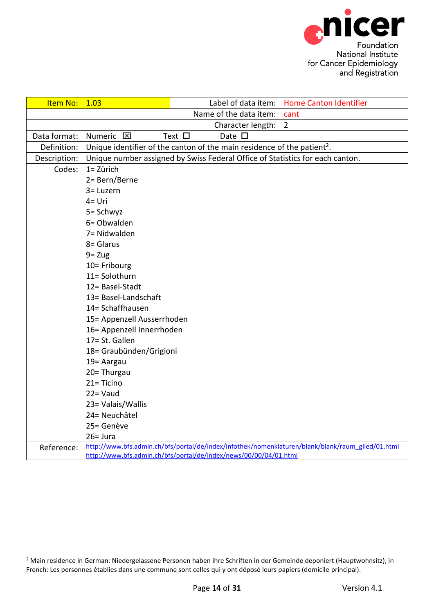<span id="page-13-0"></span>

| Item No:     | 1.03                                                                                              | Label of data item:                                                                 | <b>Home Canton Identifier</b> |  |  |
|--------------|---------------------------------------------------------------------------------------------------|-------------------------------------------------------------------------------------|-------------------------------|--|--|
|              |                                                                                                   | Name of the data item:                                                              | cant                          |  |  |
|              |                                                                                                   | Character length:                                                                   | $\overline{2}$                |  |  |
| Data format: | Text $\square$<br>Numeric <b>区</b><br>Date $\square$                                              |                                                                                     |                               |  |  |
| Definition:  |                                                                                                   | Unique identifier of the canton of the main residence of the patient <sup>2</sup> . |                               |  |  |
| Description: |                                                                                                   | Unique number assigned by Swiss Federal Office of Statistics for each canton.       |                               |  |  |
| Codes:       | 1= Zürich                                                                                         |                                                                                     |                               |  |  |
|              | 2= Bern/Berne                                                                                     |                                                                                     |                               |  |  |
|              | 3= Luzern                                                                                         |                                                                                     |                               |  |  |
|              | $4 = Uri$                                                                                         |                                                                                     |                               |  |  |
|              | 5= Schwyz                                                                                         |                                                                                     |                               |  |  |
|              | 6= Obwalden                                                                                       |                                                                                     |                               |  |  |
|              | 7= Nidwalden                                                                                      |                                                                                     |                               |  |  |
|              | 8= Glarus                                                                                         |                                                                                     |                               |  |  |
|              | $9 = Zug$                                                                                         |                                                                                     |                               |  |  |
|              | 10= Fribourg                                                                                      |                                                                                     |                               |  |  |
|              | 11= Solothurn                                                                                     |                                                                                     |                               |  |  |
|              | 12= Basel-Stadt                                                                                   |                                                                                     |                               |  |  |
|              | 13= Basel-Landschaft                                                                              |                                                                                     |                               |  |  |
|              | 14= Schaffhausen                                                                                  |                                                                                     |                               |  |  |
|              | 15= Appenzell Ausserrhoden                                                                        |                                                                                     |                               |  |  |
|              | 16= Appenzell Innerrhoden                                                                         |                                                                                     |                               |  |  |
|              | 17= St. Gallen                                                                                    |                                                                                     |                               |  |  |
|              | 18 = Graubünden/Grigioni                                                                          |                                                                                     |                               |  |  |
|              | 19 = Aargau                                                                                       |                                                                                     |                               |  |  |
|              | 20= Thurgau                                                                                       |                                                                                     |                               |  |  |
|              | $21 = Ticino$                                                                                     |                                                                                     |                               |  |  |
|              | $22 = Vaud$                                                                                       |                                                                                     |                               |  |  |
|              | 23= Valais/Wallis                                                                                 |                                                                                     |                               |  |  |
|              | 24= Neuchâtel                                                                                     |                                                                                     |                               |  |  |
|              | 25= Genève<br>$26 = Jura$                                                                         |                                                                                     |                               |  |  |
|              | http://www.bfs.admin.ch/bfs/portal/de/index/infothek/nomenklaturen/blank/blank/raum_glied/01.html |                                                                                     |                               |  |  |
| Reference:   |                                                                                                   | http://www.bfs.admin.ch/bfs/portal/de/index/news/00/00/04/01.html                   |                               |  |  |

-

<sup>&</sup>lt;sup>2</sup> Main residence in German: Niedergelassene Personen haben ihre Schriften in der Gemeinde deponiert (Hauptwohnsitz); in French: Les personnes établies dans une commune sont celles qui y ont déposé leurs papiers (domicile principal).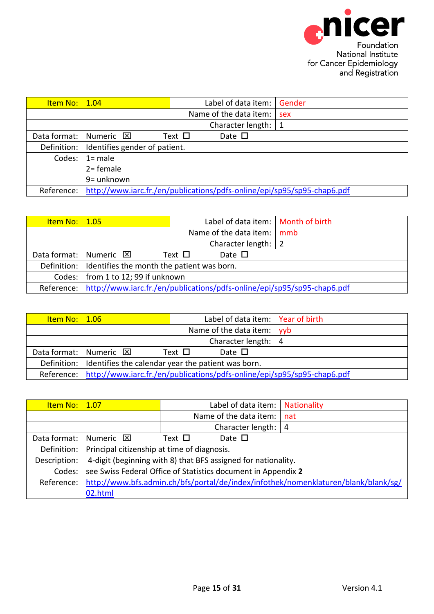<span id="page-14-1"></span><span id="page-14-0"></span>

| <u>Item No:   1.04</u> |                                                                         |             | Label of data item: Gender |     |
|------------------------|-------------------------------------------------------------------------|-------------|----------------------------|-----|
|                        |                                                                         |             | Name of the data item:     | sex |
|                        |                                                                         |             | Character length:          |     |
| Data format:           | Numeric <b>⊠</b>                                                        | Text $\Box$ | Date $\square$             |     |
|                        | Definition:   Identifies gender of patient.                             |             |                            |     |
|                        | Codes: $\vert$ 1= male                                                  |             |                            |     |
|                        | $2 =$ female                                                            |             |                            |     |
|                        | 9= unknown                                                              |             |                            |     |
| Reference:             | http://www.iarc.fr./en/publications/pdfs-online/epi/sp95/sp95-chap6.pdf |             |                            |     |

| <u>Item No:   1.05</u> |                                                                         | Label of data item:   Month of birth |  |  |  |
|------------------------|-------------------------------------------------------------------------|--------------------------------------|--|--|--|
|                        |                                                                         | Name of the data item: $\vert$ mmb   |  |  |  |
|                        |                                                                         | Character length:   2                |  |  |  |
|                        | Data format:   Numeric $\boxtimes$                                      | Text $\Box$<br>Date $\square$        |  |  |  |
|                        | Definition: I Identifies the month the patient was born.                |                                      |  |  |  |
|                        | Codes:   from 1 to 12; 99 if unknown                                    |                                      |  |  |  |
| Reference:             | http://www.iarc.fr./en/publications/pdfs-online/epi/sp95/sp95-chap6.pdf |                                      |  |  |  |

<span id="page-14-2"></span>

| <u>Item No:   1.06 </u> |                                                                                      |             | Label of data item:   Year of birth |  |  |
|-------------------------|--------------------------------------------------------------------------------------|-------------|-------------------------------------|--|--|
|                         |                                                                                      |             | Name of the data item: $ $ yyb      |  |  |
|                         |                                                                                      |             | Character length: $ 4$              |  |  |
|                         | Data format:   Numeric $\boxtimes$                                                   | Text $\Box$ | Date $\Box$                         |  |  |
|                         | Definition: I Identifies the calendar year the patient was born.                     |             |                                     |  |  |
|                         | Reference:   http://www.iarc.fr./en/publications/pdfs-online/epi/sp95/sp95-chap6.pdf |             |                                     |  |  |

<span id="page-14-3"></span>

| <b>Item No:</b> | 1.07                                                                               |             | Label of data item:    |  | Nationality |
|-----------------|------------------------------------------------------------------------------------|-------------|------------------------|--|-------------|
|                 |                                                                                    |             | Name of the data item: |  | nat         |
|                 |                                                                                    |             | Character length: $ 4$ |  |             |
| Data format:    | Numeric <b>⊠</b>                                                                   | Text $\Box$ | Date $\square$         |  |             |
| Definition:     | Principal citizenship at time of diagnosis.                                        |             |                        |  |             |
| Description:    | 4-digit (beginning with 8) that BFS assigned for nationality.                      |             |                        |  |             |
| Codes:          | see Swiss Federal Office of Statistics document in Appendix 2                      |             |                        |  |             |
| Reference:      | http://www.bfs.admin.ch/bfs/portal/de/index/infothek/nomenklaturen/blank/blank/sg/ |             |                        |  |             |
|                 | 02.html                                                                            |             |                        |  |             |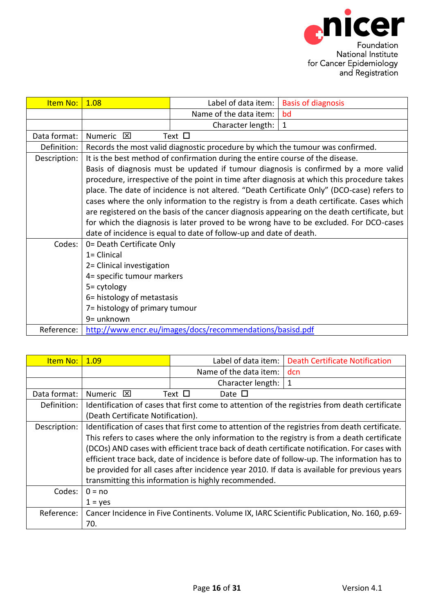<span id="page-15-0"></span>

| Item No:     | 1.08                                                                                   | Label of data item:                                                            | <b>Basis of diagnosis</b>                                                                   |  |  |  |
|--------------|----------------------------------------------------------------------------------------|--------------------------------------------------------------------------------|---------------------------------------------------------------------------------------------|--|--|--|
|              |                                                                                        | Name of the data item:                                                         | bd                                                                                          |  |  |  |
|              |                                                                                        | Character length:                                                              | $\mathbf{1}$                                                                                |  |  |  |
| Data format: | $\mathbf{\overline{X}}$<br>Numeric                                                     | Text $\Box$                                                                    |                                                                                             |  |  |  |
| Definition:  |                                                                                        | Records the most valid diagnostic procedure by which the tumour was confirmed. |                                                                                             |  |  |  |
| Description: |                                                                                        | It is the best method of confirmation during the entire course of the disease. |                                                                                             |  |  |  |
|              |                                                                                        |                                                                                | Basis of diagnosis must be updated if tumour diagnosis is confirmed by a more valid         |  |  |  |
|              |                                                                                        |                                                                                | procedure, irrespective of the point in time after diagnosis at which this procedure takes  |  |  |  |
|              |                                                                                        |                                                                                | place. The date of incidence is not altered. "Death Certificate Only" (DCO-case) refers to  |  |  |  |
|              |                                                                                        |                                                                                | cases where the only information to the registry is from a death certificate. Cases which   |  |  |  |
|              |                                                                                        |                                                                                | are registered on the basis of the cancer diagnosis appearing on the death certificate, but |  |  |  |
|              | for which the diagnosis is later proved to be wrong have to be excluded. For DCO-cases |                                                                                |                                                                                             |  |  |  |
|              |                                                                                        | date of incidence is equal to date of follow-up and date of death.             |                                                                                             |  |  |  |
| Codes:       | 0= Death Certificate Only                                                              |                                                                                |                                                                                             |  |  |  |
|              | $1 =$ Clinical                                                                         |                                                                                |                                                                                             |  |  |  |
|              | 2= Clinical investigation                                                              |                                                                                |                                                                                             |  |  |  |
|              | 4= specific tumour markers                                                             |                                                                                |                                                                                             |  |  |  |
|              | 5= cytology                                                                            |                                                                                |                                                                                             |  |  |  |
|              | 6= histology of metastasis                                                             |                                                                                |                                                                                             |  |  |  |
|              | 7= histology of primary tumour                                                         |                                                                                |                                                                                             |  |  |  |
|              | 9= unknown                                                                             |                                                                                |                                                                                             |  |  |  |
| Reference:   |                                                                                        | http://www.encr.eu/images/docs/recommendations/basisd.pdf                      |                                                                                             |  |  |  |

<span id="page-15-1"></span>

| <b>Item No:</b> | 1.09                                                                                         | Label of data item:                                                                            | <b>Death Certificate Notification</b>                                                         |  |  |
|-----------------|----------------------------------------------------------------------------------------------|------------------------------------------------------------------------------------------------|-----------------------------------------------------------------------------------------------|--|--|
|                 |                                                                                              | Name of the data item:                                                                         | dcn                                                                                           |  |  |
|                 |                                                                                              | Character length:                                                                              | 1                                                                                             |  |  |
| Data format:    | Numeric <b>X</b>                                                                             | Text $\Box$<br>Date $\Box$                                                                     |                                                                                               |  |  |
| Definition:     |                                                                                              |                                                                                                | Identification of cases that first come to attention of the registries from death certificate |  |  |
|                 | (Death Certificate Notification).                                                            |                                                                                                |                                                                                               |  |  |
| Description:    |                                                                                              | Identification of cases that first come to attention of the registries from death certificate. |                                                                                               |  |  |
|                 |                                                                                              |                                                                                                | This refers to cases where the only information to the registry is from a death certificate   |  |  |
|                 |                                                                                              |                                                                                                | (DCOs) AND cases with efficient trace back of death certificate notification. For cases with  |  |  |
|                 | efficient trace back, date of incidence is before date of follow-up. The information has to  |                                                                                                |                                                                                               |  |  |
|                 | be provided for all cases after incidence year 2010. If data is available for previous years |                                                                                                |                                                                                               |  |  |
|                 |                                                                                              | transmitting this information is highly recommended.                                           |                                                                                               |  |  |
| Codes:          | $0 = no$                                                                                     |                                                                                                |                                                                                               |  |  |
|                 | $1 = yes$                                                                                    |                                                                                                |                                                                                               |  |  |
| Reference:      |                                                                                              |                                                                                                | Cancer Incidence in Five Continents. Volume IX, IARC Scientific Publication, No. 160, p.69-   |  |  |
|                 | 70.                                                                                          |                                                                                                |                                                                                               |  |  |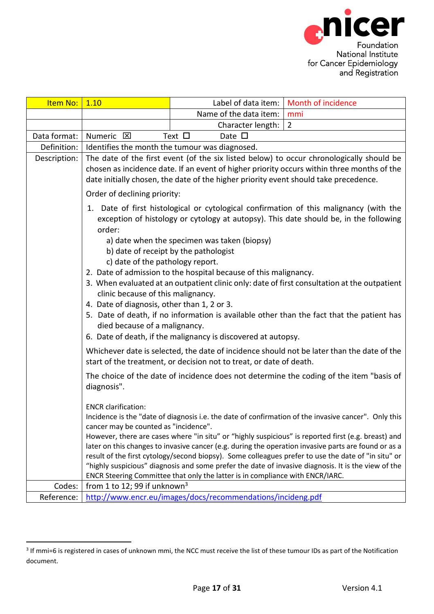<span id="page-16-0"></span>

| Item No:     | 1.10                                                                                                                                                                                                                                                                                                                                                                                                                                                                                                                                                                                                                                                                                                                                                                           |                                                                                                                                                                                                                                                                                                                                                                                                                                                                                                                                                                                                                                                             | Label of data item:   Month of incidence                                                                                                                                               |  |  |  |
|--------------|--------------------------------------------------------------------------------------------------------------------------------------------------------------------------------------------------------------------------------------------------------------------------------------------------------------------------------------------------------------------------------------------------------------------------------------------------------------------------------------------------------------------------------------------------------------------------------------------------------------------------------------------------------------------------------------------------------------------------------------------------------------------------------|-------------------------------------------------------------------------------------------------------------------------------------------------------------------------------------------------------------------------------------------------------------------------------------------------------------------------------------------------------------------------------------------------------------------------------------------------------------------------------------------------------------------------------------------------------------------------------------------------------------------------------------------------------------|----------------------------------------------------------------------------------------------------------------------------------------------------------------------------------------|--|--|--|
|              |                                                                                                                                                                                                                                                                                                                                                                                                                                                                                                                                                                                                                                                                                                                                                                                | Name of the data item:                                                                                                                                                                                                                                                                                                                                                                                                                                                                                                                                                                                                                                      | mmi                                                                                                                                                                                    |  |  |  |
|              |                                                                                                                                                                                                                                                                                                                                                                                                                                                                                                                                                                                                                                                                                                                                                                                | Character length:                                                                                                                                                                                                                                                                                                                                                                                                                                                                                                                                                                                                                                           | $\overline{2}$                                                                                                                                                                         |  |  |  |
| Data format: | Numeric <b>区</b>                                                                                                                                                                                                                                                                                                                                                                                                                                                                                                                                                                                                                                                                                                                                                               | Text $\square$<br>Date $\square$                                                                                                                                                                                                                                                                                                                                                                                                                                                                                                                                                                                                                            |                                                                                                                                                                                        |  |  |  |
| Definition:  |                                                                                                                                                                                                                                                                                                                                                                                                                                                                                                                                                                                                                                                                                                                                                                                | Identifies the month the tumour was diagnosed.                                                                                                                                                                                                                                                                                                                                                                                                                                                                                                                                                                                                              |                                                                                                                                                                                        |  |  |  |
| Description: |                                                                                                                                                                                                                                                                                                                                                                                                                                                                                                                                                                                                                                                                                                                                                                                | date initially chosen, the date of the higher priority event should take precedence.                                                                                                                                                                                                                                                                                                                                                                                                                                                                                                                                                                        | The date of the first event (of the six listed below) to occur chronologically should be<br>chosen as incidence date. If an event of higher priority occurs within three months of the |  |  |  |
|              | Order of declining priority:                                                                                                                                                                                                                                                                                                                                                                                                                                                                                                                                                                                                                                                                                                                                                   |                                                                                                                                                                                                                                                                                                                                                                                                                                                                                                                                                                                                                                                             |                                                                                                                                                                                        |  |  |  |
|              | 1. Date of first histological or cytological confirmation of this malignancy (with the<br>exception of histology or cytology at autopsy). This date should be, in the following<br>order:<br>a) date when the specimen was taken (biopsy)<br>b) date of receipt by the pathologist<br>c) date of the pathology report.<br>2. Date of admission to the hospital because of this malignancy.<br>3. When evaluated at an outpatient clinic only: date of first consultation at the outpatient<br>clinic because of this malignancy.<br>4. Date of diagnosis, other than 1, 2 or 3.<br>5. Date of death, if no information is available other than the fact that the patient has<br>died because of a malignancy.<br>6. Date of death, if the malignancy is discovered at autopsy. |                                                                                                                                                                                                                                                                                                                                                                                                                                                                                                                                                                                                                                                             |                                                                                                                                                                                        |  |  |  |
|              |                                                                                                                                                                                                                                                                                                                                                                                                                                                                                                                                                                                                                                                                                                                                                                                | start of the treatment, or decision not to treat, or date of death.                                                                                                                                                                                                                                                                                                                                                                                                                                                                                                                                                                                         | Whichever date is selected, the date of incidence should not be later than the date of the                                                                                             |  |  |  |
|              | The choice of the date of incidence does not determine the coding of the item "basis of<br>diagnosis".                                                                                                                                                                                                                                                                                                                                                                                                                                                                                                                                                                                                                                                                         |                                                                                                                                                                                                                                                                                                                                                                                                                                                                                                                                                                                                                                                             |                                                                                                                                                                                        |  |  |  |
|              | <b>ENCR</b> clarification:                                                                                                                                                                                                                                                                                                                                                                                                                                                                                                                                                                                                                                                                                                                                                     | Incidence is the "date of diagnosis i.e. the date of confirmation of the invasive cancer". Only this<br>cancer may be counted as "incidence".<br>However, there are cases where "in situ" or "highly suspicious" is reported first (e.g. breast) and<br>later on this changes to invasive cancer (e.g. during the operation invasive parts are found or as a<br>result of the first cytology/second biopsy). Some colleagues prefer to use the date of "in situ" or<br>"highly suspicious" diagnosis and some prefer the date of invasive diagnosis. It is the view of the<br>ENCR Steering Committee that only the latter is in compliance with ENCR/IARC. |                                                                                                                                                                                        |  |  |  |
| Codes:       | from 1 to 12; 99 if unknown <sup>3</sup>                                                                                                                                                                                                                                                                                                                                                                                                                                                                                                                                                                                                                                                                                                                                       |                                                                                                                                                                                                                                                                                                                                                                                                                                                                                                                                                                                                                                                             |                                                                                                                                                                                        |  |  |  |
| Reference:   |                                                                                                                                                                                                                                                                                                                                                                                                                                                                                                                                                                                                                                                                                                                                                                                | http://www.encr.eu/images/docs/recommendations/incideng.pdf                                                                                                                                                                                                                                                                                                                                                                                                                                                                                                                                                                                                 |                                                                                                                                                                                        |  |  |  |

 3 If mmi=6 is registered in cases of unknown mmi, the NCC must receive the list of these tumour IDs as part of the Notification document.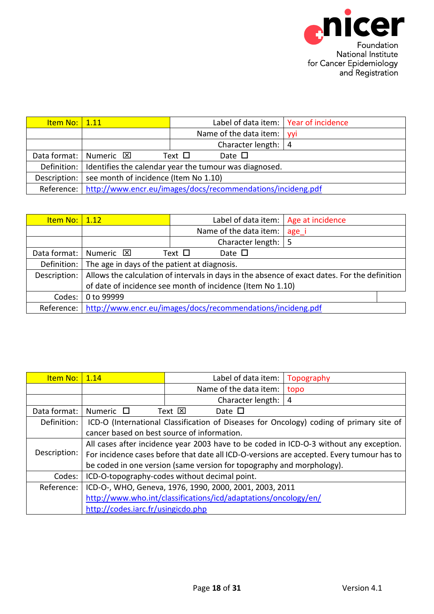<span id="page-17-1"></span><span id="page-17-0"></span>

| <u>Item No:   1.11</u> |                                                                          | Label of data item:   Year of incidence |  |  |  |
|------------------------|--------------------------------------------------------------------------|-----------------------------------------|--|--|--|
|                        |                                                                          | Name of the data item:   yyi            |  |  |  |
|                        |                                                                          | Character length: $ 4$                  |  |  |  |
|                        | Data format:   Numeric $\boxtimes$                                       | Text $\Box$<br>Date $\Box$              |  |  |  |
|                        | Definition: I Identifies the calendar year the tumour was diagnosed.     |                                         |  |  |  |
| Description:           | see month of incidence (Item No 1.10)                                    |                                         |  |  |  |
|                        | Reference:   http://www.encr.eu/images/docs/recommendations/incideng.pdf |                                         |  |  |  |

| <u>Item No:   1.12</u> |                                                                                               |             |                                     | Label of data item:   Age at incidence |  |
|------------------------|-----------------------------------------------------------------------------------------------|-------------|-------------------------------------|----------------------------------------|--|
|                        |                                                                                               |             | Name of the data item:              | age_i                                  |  |
|                        |                                                                                               |             | Character length: $\vert 5 \rangle$ |                                        |  |
| Data format:           | Numeric <b>⊠</b>                                                                              | Text $\Box$ | Date $\square$                      |                                        |  |
| Definition:            | The age in days of the patient at diagnosis.                                                  |             |                                     |                                        |  |
| Description:           | Allows the calculation of intervals in days in the absence of exact dates. For the definition |             |                                     |                                        |  |
|                        | of date of incidence see month of incidence (Item No 1.10)                                    |             |                                     |                                        |  |
| Codes:                 | 0 to 99999                                                                                    |             |                                     |                                        |  |
| Reference:             | http://www.encr.eu/images/docs/recommendations/incideng.pdf                                   |             |                                     |                                        |  |

<span id="page-17-2"></span>

| Item No:     | 1.14                                                                                      | Label of data item:    | Topography |  |  |  |
|--------------|-------------------------------------------------------------------------------------------|------------------------|------------|--|--|--|
|              |                                                                                           | Name of the data item: | topo       |  |  |  |
|              |                                                                                           | Character length:<br>4 |            |  |  |  |
| Data format: | Numeric $\Box$                                                                            | Text ⊠<br>Date $\Box$  |            |  |  |  |
| Definition:  | ICD-O (International Classification of Diseases for Oncology) coding of primary site of   |                        |            |  |  |  |
|              | cancer based on best source of information.                                               |                        |            |  |  |  |
|              | All cases after incidence year 2003 have to be coded in ICD-O-3 without any exception.    |                        |            |  |  |  |
| Description: | For incidence cases before that date all ICD-O-versions are accepted. Every tumour has to |                        |            |  |  |  |
|              | be coded in one version (same version for topography and morphology).                     |                        |            |  |  |  |
| Codes:       | ICD-O-topography-codes without decimal point.                                             |                        |            |  |  |  |
| Reference:   | ICD-O-, WHO, Geneva, 1976, 1990, 2000, 2001, 2003, 2011                                   |                        |            |  |  |  |
|              | http://www.who.int/classifications/icd/adaptations/oncology/en/                           |                        |            |  |  |  |
|              | http://codes.iarc.fr/usingicdo.php                                                        |                        |            |  |  |  |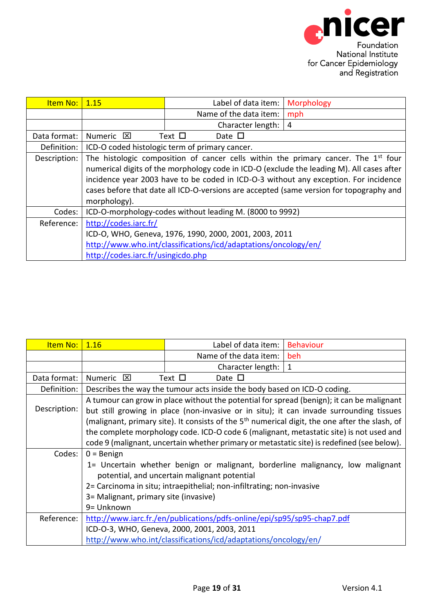<span id="page-18-0"></span>

| Item No:     | 1.15                                                                                    | Label of data item:                                             | <b>Morphology</b>                                                                         |  |  |
|--------------|-----------------------------------------------------------------------------------------|-----------------------------------------------------------------|-------------------------------------------------------------------------------------------|--|--|
|              |                                                                                         | Name of the data item:                                          | mph                                                                                       |  |  |
|              |                                                                                         | Character length:                                               | 4                                                                                         |  |  |
| Data format: | Numeric <b>X</b>                                                                        | Text $\Box$<br>Date $\Box$                                      |                                                                                           |  |  |
| Definition:  |                                                                                         | ICD-O coded histologic term of primary cancer.                  |                                                                                           |  |  |
| Description: |                                                                                         |                                                                 | The histologic composition of cancer cells within the primary cancer. The $1st$ four      |  |  |
|              |                                                                                         |                                                                 | numerical digits of the morphology code in ICD-O (exclude the leading M). All cases after |  |  |
|              |                                                                                         |                                                                 | incidence year 2003 have to be coded in ICD-O-3 without any exception. For incidence      |  |  |
|              | cases before that date all ICD-O-versions are accepted (same version for topography and |                                                                 |                                                                                           |  |  |
|              | morphology).                                                                            |                                                                 |                                                                                           |  |  |
| Codes:       |                                                                                         | ICD-O-morphology-codes without leading M. (8000 to 9992)        |                                                                                           |  |  |
| Reference:   | http://codes.iarc.fr/                                                                   |                                                                 |                                                                                           |  |  |
|              | ICD-O, WHO, Geneva, 1976, 1990, 2000, 2001, 2003, 2011                                  |                                                                 |                                                                                           |  |  |
|              |                                                                                         | http://www.who.int/classifications/icd/adaptations/oncology/en/ |                                                                                           |  |  |
|              | http://codes.iarc.fr/usingicdo.php                                                      |                                                                 |                                                                                           |  |  |

<span id="page-18-1"></span>

| Item No:     | 1.16                                                                                       | Label of data item:                                                      | <b>Behaviour</b>                                                                                           |  |  |
|--------------|--------------------------------------------------------------------------------------------|--------------------------------------------------------------------------|------------------------------------------------------------------------------------------------------------|--|--|
|              |                                                                                            | Name of the data item:                                                   | beh.                                                                                                       |  |  |
|              |                                                                                            | Character length:                                                        | 1                                                                                                          |  |  |
| Data format: | Numeric <b>区</b>                                                                           | Text $\Box$<br>Date $\square$                                            |                                                                                                            |  |  |
| Definition:  |                                                                                            | Describes the way the tumour acts inside the body based on ICD-O coding. |                                                                                                            |  |  |
|              |                                                                                            |                                                                          | A tumour can grow in place without the potential for spread (benign); it can be malignant                  |  |  |
| Description: |                                                                                            |                                                                          | but still growing in place (non-invasive or in situ); it can invade surrounding tissues                    |  |  |
|              |                                                                                            |                                                                          | (malignant, primary site). It consists of the 5 <sup>th</sup> numerical digit, the one after the slash, of |  |  |
|              | the complete morphology code. ICD-O code 6 (malignant, metastatic site) is not used and    |                                                                          |                                                                                                            |  |  |
|              | code 9 (malignant, uncertain whether primary or metastatic site) is redefined (see below). |                                                                          |                                                                                                            |  |  |
| Codes:       | $0 =$ Benign                                                                               |                                                                          |                                                                                                            |  |  |
|              | 1= Uncertain whether benign or malignant, borderline malignancy, low malignant             |                                                                          |                                                                                                            |  |  |
|              | potential, and uncertain malignant potential                                               |                                                                          |                                                                                                            |  |  |
|              | 2= Carcinoma in situ; intraepithelial; non-infiltrating; non-invasive                      |                                                                          |                                                                                                            |  |  |
|              | 3= Malignant, primary site (invasive)                                                      |                                                                          |                                                                                                            |  |  |
|              | 9= Unknown                                                                                 |                                                                          |                                                                                                            |  |  |
| Reference:   |                                                                                            | http://www.iarc.fr./en/publications/pdfs-online/epi/sp95/sp95-chap7.pdf  |                                                                                                            |  |  |
|              | ICD-O-3, WHO, Geneva, 2000, 2001, 2003, 2011                                               |                                                                          |                                                                                                            |  |  |
|              |                                                                                            | http://www.who.int/classifications/icd/adaptations/oncology/en/          |                                                                                                            |  |  |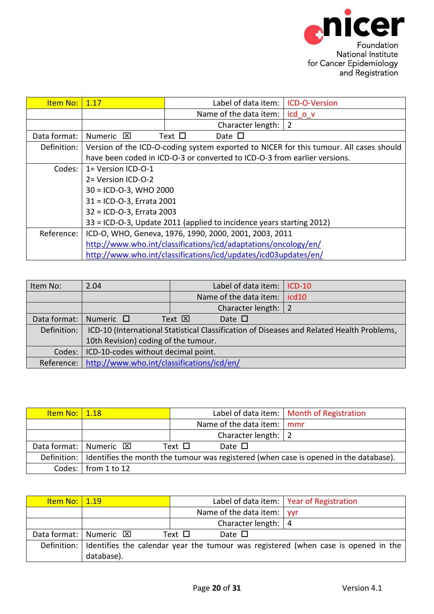<span id="page-19-0"></span>

| <b>Item No:</b> | 1.17                                                                 | Label of data item: I                                                     | <b>ICD-O-Version</b>                                                                   |  |  |
|-----------------|----------------------------------------------------------------------|---------------------------------------------------------------------------|----------------------------------------------------------------------------------------|--|--|
|                 |                                                                      | Name of the data item:                                                    | icd o v                                                                                |  |  |
|                 |                                                                      | Character length:                                                         | 2                                                                                      |  |  |
| Data format:    | Numeric $\boxtimes$                                                  | Text $\Box$<br>Date $\Box$                                                |                                                                                        |  |  |
| Definition:     |                                                                      |                                                                           | Version of the ICD-O-coding system exported to NICER for this tumour. All cases should |  |  |
|                 |                                                                      | have been coded in ICD-O-3 or converted to ICD-O-3 from earlier versions. |                                                                                        |  |  |
| Codes:          | $1 = Version ICD-O-1$                                                |                                                                           |                                                                                        |  |  |
|                 | 2= Version ICD-O-2                                                   |                                                                           |                                                                                        |  |  |
|                 | $30 = ICD-O-3$ , WHO 2000                                            |                                                                           |                                                                                        |  |  |
|                 | 31 = ICD-O-3, Errata 2001                                            |                                                                           |                                                                                        |  |  |
|                 | 32 = ICD-O-3, Errata 2003                                            |                                                                           |                                                                                        |  |  |
|                 | 33 = ICD-O-3, Update 2011 (applied to incidence years starting 2012) |                                                                           |                                                                                        |  |  |
| Reference:      | ICD-O, WHO, Geneva, 1976, 1990, 2000, 2001, 2003, 2011               |                                                                           |                                                                                        |  |  |
|                 |                                                                      | http://www.who.int/classifications/icd/adaptations/oncology/en/           |                                                                                        |  |  |
|                 |                                                                      | http://www.who.int/classifications/icd/updates/icd03updates/en/           |                                                                                        |  |  |

<span id="page-19-1"></span>

| Item No:     | 2.04                                                                                      | Label of data item:             | $ICD-10$          |  |
|--------------|-------------------------------------------------------------------------------------------|---------------------------------|-------------------|--|
|              |                                                                                           | Name of the data item:          | icd <sub>10</sub> |  |
|              |                                                                                           | Character length:               |                   |  |
| Data format: | Numeric $\Box$                                                                            | Date $\Box$<br>Text $\boxtimes$ |                   |  |
| Definition:  | ICD-10 (International Statistical Classification of Diseases and Related Health Problems, |                                 |                   |  |
|              | 10th Revision) coding of the tumour.                                                      |                                 |                   |  |
| Codes:       | ICD-10-codes without decimal point.                                                       |                                 |                   |  |
| Reference:   | http://www.who.int/classifications/icd/en/                                                |                                 |                   |  |

<span id="page-19-2"></span>

| <u>Item No:   1.18</u> |                                    |             |                                   | Label of data item:   Month of Registration                                                         |
|------------------------|------------------------------------|-------------|-----------------------------------|-----------------------------------------------------------------------------------------------------|
|                        |                                    |             | Name of the data item: mmr        |                                                                                                     |
|                        |                                    |             | Character length: $\vert 2 \vert$ |                                                                                                     |
|                        | Data format:   Numeric $\boxtimes$ | Text $\Box$ | Date $\square$                    |                                                                                                     |
|                        |                                    |             |                                   | Definition:   Identifies the month the tumour was registered (when case is opened in the database). |
|                        | Codes: $\vert$ from 1 to 12        |             |                                   |                                                                                                     |

<span id="page-19-3"></span>

| <u>Item No:   1.19</u> |                                    |                |                                    | Label of data item:   Year of Registration                                                       |
|------------------------|------------------------------------|----------------|------------------------------------|--------------------------------------------------------------------------------------------------|
|                        |                                    |                | Name of the data item: $\vert$ yyr |                                                                                                  |
|                        |                                    |                | Character length: $ 4$             |                                                                                                  |
|                        | Data format:   Numeric $\boxtimes$ | Text $\square$ | Date $\square$                     |                                                                                                  |
|                        |                                    |                |                                    | Definition:   Identifies the calendar year the tumour was registered (when case is opened in the |
|                        | database).                         |                |                                    |                                                                                                  |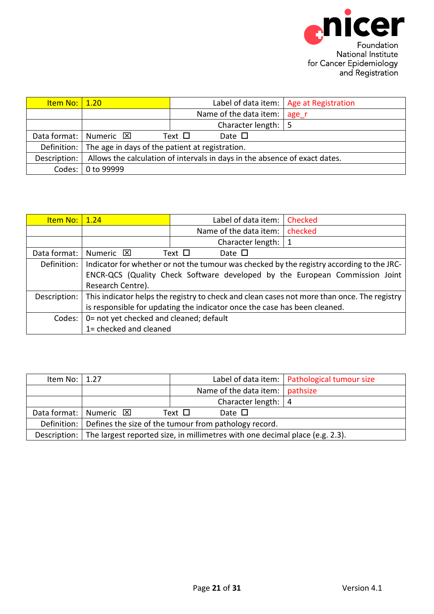<span id="page-20-1"></span><span id="page-20-0"></span>

| <u>Item No:   1.20</u> |                                                             |                                                                            | Label of data item:   Age at Registration |
|------------------------|-------------------------------------------------------------|----------------------------------------------------------------------------|-------------------------------------------|
|                        |                                                             | Name of the data item:                                                     | age r                                     |
|                        |                                                             | Character length:   5                                                      |                                           |
|                        | Data format:   Numeric $\boxtimes$                          | Date $\square$<br>Text $\Box$                                              |                                           |
|                        | Definition: The age in days of the patient at registration. |                                                                            |                                           |
| Description:           |                                                             | Allows the calculation of intervals in days in the absence of exact dates. |                                           |
| Codes: I               | 0 to 99999                                                  |                                                                            |                                           |

| <u>Item No:   1.24</u> |                                                                                                                                                                                               | Label of data item:        | <b>Checked</b> |  |  |
|------------------------|-----------------------------------------------------------------------------------------------------------------------------------------------------------------------------------------------|----------------------------|----------------|--|--|
|                        |                                                                                                                                                                                               | Name of the data item:     | checked        |  |  |
|                        |                                                                                                                                                                                               | Character length:          | $^{\circ}$ 1   |  |  |
| Data format:           | Numeric <b>X</b>                                                                                                                                                                              | Text $\Box$<br>Date $\Box$ |                |  |  |
| Definition:            | Indicator for whether or not the tumour was checked by the registry according to the JRC-<br>ENCR-QCS (Quality Check Software developed by the European Commission Joint<br>Research Centre). |                            |                |  |  |
|                        | Description:   This indicator helps the registry to check and clean cases not more than once. The registry  <br>is responsible for updating the indicator once the case has been cleaned.     |                            |                |  |  |
| Codes: I               | 0= not yet checked and cleaned; default<br>1= checked and cleaned                                                                                                                             |                            |                |  |  |

<span id="page-20-2"></span>

| Item No: $\vert$ 1.27 |                                                                     |                                                                                             | Label of data item:   Pathological tumour size |  |
|-----------------------|---------------------------------------------------------------------|---------------------------------------------------------------------------------------------|------------------------------------------------|--|
|                       |                                                                     | Name of the data item:   pathsize                                                           |                                                |  |
|                       |                                                                     | Character length: $ 4$                                                                      |                                                |  |
|                       | Data format:   Numeric $\boxtimes$                                  | Text $\square$<br>Date $\Box$                                                               |                                                |  |
|                       | Definition:   Defines the size of the tumour from pathology record. |                                                                                             |                                                |  |
|                       |                                                                     | Description:   The largest reported size, in millimetres with one decimal place (e.g. 2.3). |                                                |  |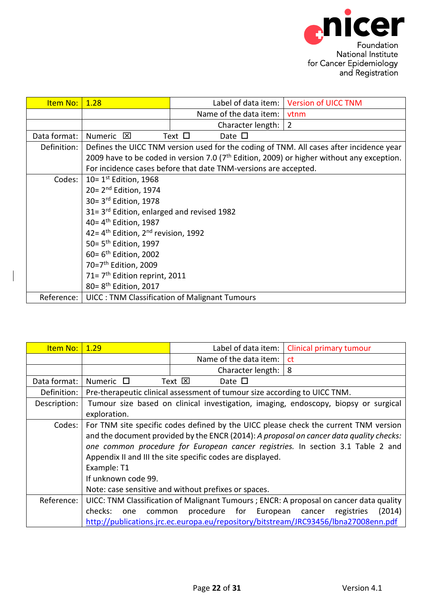<span id="page-21-0"></span>

| Item No:     | 1.28                                                            |             |                        |  | Label of data item:   Version of UICC TNM                                                    |
|--------------|-----------------------------------------------------------------|-------------|------------------------|--|----------------------------------------------------------------------------------------------|
|              |                                                                 |             | Name of the data item: |  | <b>vtnm</b>                                                                                  |
|              |                                                                 |             | Character length:      |  | $\overline{2}$                                                                               |
| Data format: | Numeric <b>X</b>                                                | Text $\Box$ | Date $\square$         |  |                                                                                              |
| Definition:  |                                                                 |             |                        |  | Defines the UICC TNM version used for the coding of TNM. All cases after incidence year      |
|              |                                                                 |             |                        |  | 2009 have to be coded in version 7.0 ( $7th$ Edition, 2009) or higher without any exception. |
|              | For incidence cases before that date TNM-versions are accepted. |             |                        |  |                                                                                              |
| Codes:       | 10= $1st$ Edition, 1968                                         |             |                        |  |                                                                                              |
|              | $20 = 2nd$ Edition, 1974                                        |             |                        |  |                                                                                              |
|              | 30= 3 <sup>rd</sup> Edition, 1978                               |             |                        |  |                                                                                              |
|              | $31 = 3$ <sup>rd</sup> Edition, enlarged and revised 1982       |             |                        |  |                                                                                              |
|              | 40= 4 <sup>th</sup> Edition, 1987                               |             |                        |  |                                                                                              |
|              | 42= $4^{\text{th}}$ Edition, $2^{\text{nd}}$ revision, 1992     |             |                        |  |                                                                                              |
|              | 50= 5 <sup>th</sup> Edition, 1997                               |             |                        |  |                                                                                              |
|              | $60 = 6$ <sup>th</sup> Edition, 2002                            |             |                        |  |                                                                                              |
|              | 70=7 <sup>th</sup> Edition, 2009                                |             |                        |  |                                                                                              |
|              | 71= 7 <sup>th</sup> Edition reprint, 2011                       |             |                        |  |                                                                                              |
|              | 80= 8 <sup>th</sup> Edition, 2017                               |             |                        |  |                                                                                              |
| Reference:   | <b>UICC: TNM Classification of Malignant Tumours</b>            |             |                        |  |                                                                                              |

 $\overline{\phantom{a}}$ 

<span id="page-21-1"></span>

| Item No:     | 1.29                                                                            | Label of data item:                                                       | <b>Clinical primary tumour</b>                                                          |  |  |
|--------------|---------------------------------------------------------------------------------|---------------------------------------------------------------------------|-----------------------------------------------------------------------------------------|--|--|
|              |                                                                                 | Name of the data item:                                                    | ct                                                                                      |  |  |
|              |                                                                                 | Character length:                                                         | 8                                                                                       |  |  |
| Data format: | Numeric $\Box$                                                                  | Text $\boxtimes$<br>Date $\square$                                        |                                                                                         |  |  |
| Definition:  |                                                                                 | Pre-therapeutic clinical assessment of tumour size according to UICC TNM. |                                                                                         |  |  |
| Description: |                                                                                 |                                                                           | Tumour size based on clinical investigation, imaging, endoscopy, biopsy or surgical     |  |  |
|              | exploration.                                                                    |                                                                           |                                                                                         |  |  |
| Codes:       |                                                                                 |                                                                           | For TNM site specific codes defined by the UICC please check the current TNM version    |  |  |
|              |                                                                                 |                                                                           | and the document provided by the ENCR (2014): A proposal on cancer data quality checks: |  |  |
|              | one common procedure for European cancer registries. In section 3.1 Table 2 and |                                                                           |                                                                                         |  |  |
|              | Appendix II and III the site specific codes are displayed.                      |                                                                           |                                                                                         |  |  |
|              | Example: T1                                                                     |                                                                           |                                                                                         |  |  |
|              | If unknown code 99.                                                             |                                                                           |                                                                                         |  |  |
|              |                                                                                 | Note: case sensitive and without prefixes or spaces.                      |                                                                                         |  |  |
| Reference:   |                                                                                 |                                                                           | UICC: TNM Classification of Malignant Tumours ; ENCR: A proposal on cancer data quality |  |  |
|              | checks:<br>one<br>common                                                        | procedure for European                                                    | (2014)<br>registries<br>cancer                                                          |  |  |
|              |                                                                                 |                                                                           | http://publications.jrc.ec.europa.eu/repository/bitstream/JRC93456/lbna27008enn.pdf     |  |  |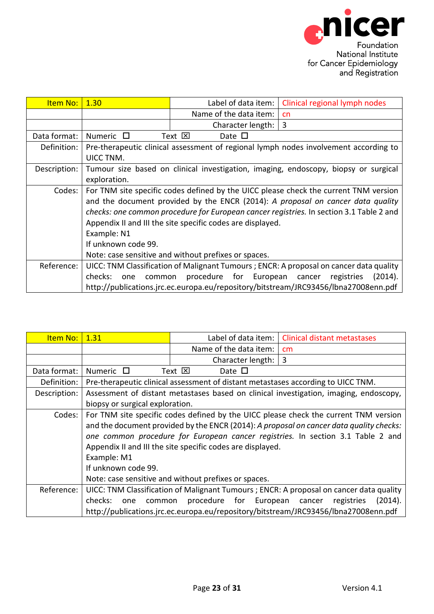<span id="page-22-0"></span>

| Item No:     | 1.30                     | Label of data item:                                        | Clinical regional lymph nodes                                                           |
|--------------|--------------------------|------------------------------------------------------------|-----------------------------------------------------------------------------------------|
|              |                          | Name of the data item:                                     | cn                                                                                      |
|              |                          | Character length:                                          | 3                                                                                       |
| Data format: | Numeric $\Box$           | Text $\boxtimes$<br>Date $\Box$                            |                                                                                         |
| Definition:  |                          |                                                            | Pre-therapeutic clinical assessment of regional lymph nodes involvement according to    |
|              | UICC TNM.                |                                                            |                                                                                         |
| Description: |                          |                                                            | Tumour size based on clinical investigation, imaging, endoscopy, biopsy or surgical     |
|              | exploration.             |                                                            |                                                                                         |
| Codes:       |                          |                                                            | For TNM site specific codes defined by the UICC please check the current TNM version    |
|              |                          |                                                            | and the document provided by the ENCR (2014): A proposal on cancer data quality         |
|              |                          |                                                            | checks: one common procedure for European cancer registries. In section 3.1 Table 2 and |
|              |                          | Appendix II and III the site specific codes are displayed. |                                                                                         |
|              | Example: N1              |                                                            |                                                                                         |
|              | If unknown code 99.      |                                                            |                                                                                         |
|              |                          | Note: case sensitive and without prefixes or spaces.       |                                                                                         |
| Reference:   |                          |                                                            | UICC: TNM Classification of Malignant Tumours ; ENCR: A proposal on cancer data quality |
|              | checks:<br>common<br>one | procedure for European                                     | (2014).<br>registries<br>cancer                                                         |
|              |                          |                                                            | http://publications.jrc.ec.europa.eu/repository/bitstream/JRC93456/lbna27008enn.pdf     |

<span id="page-22-1"></span>

| Item No:     | 1.31                               | Label of data item:                                                                                                | <b>Clinical distant metastases</b>                                                                                                                                                                                                                                 |
|--------------|------------------------------------|--------------------------------------------------------------------------------------------------------------------|--------------------------------------------------------------------------------------------------------------------------------------------------------------------------------------------------------------------------------------------------------------------|
|              |                                    | Name of the data item:                                                                                             | cm                                                                                                                                                                                                                                                                 |
|              |                                    | Character length:                                                                                                  | 3                                                                                                                                                                                                                                                                  |
| Data format: | Numeric $\Box$                     | Text $\boxtimes$<br>Date $\Box$                                                                                    |                                                                                                                                                                                                                                                                    |
| Definition:  |                                    | Pre-therapeutic clinical assessment of distant metastases according to UICC TNM.                                   |                                                                                                                                                                                                                                                                    |
| Description: |                                    |                                                                                                                    | Assessment of distant metastases based on clinical investigation, imaging, endoscopy,                                                                                                                                                                              |
|              | biopsy or surgical exploration.    |                                                                                                                    |                                                                                                                                                                                                                                                                    |
| Codes: I     | Example: M1<br>If unknown code 99. | Appendix II and III the site specific codes are displayed.<br>Note: case sensitive and without prefixes or spaces. | For TNM site specific codes defined by the UICC please check the current TNM version<br>and the document provided by the ENCR (2014): A proposal on cancer data quality checks:<br>one common procedure for European cancer registries. In section 3.1 Table 2 and |
| Reference:   |                                    |                                                                                                                    | UICC: TNM Classification of Malignant Tumours ; ENCR: A proposal on cancer data quality                                                                                                                                                                            |
|              | checks:<br>common<br>one           | procedure for European                                                                                             | (2014).<br>registries<br>cancer                                                                                                                                                                                                                                    |
|              |                                    |                                                                                                                    | http://publications.jrc.ec.europa.eu/repository/bitstream/JRC93456/lbna27008enn.pdf                                                                                                                                                                                |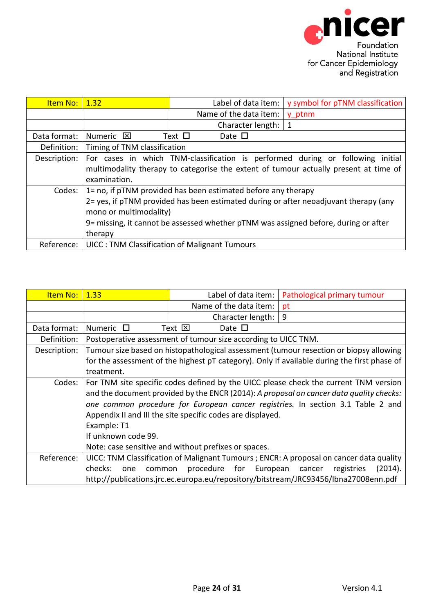<span id="page-23-0"></span>

| Item No:     | 1.32                              | Label of data item:                                                                                                                                                                                                                          | y symbol for pTNM classification                                                                |
|--------------|-----------------------------------|----------------------------------------------------------------------------------------------------------------------------------------------------------------------------------------------------------------------------------------------|-------------------------------------------------------------------------------------------------|
|              |                                   | Name of the data item:                                                                                                                                                                                                                       | y ptnm                                                                                          |
|              |                                   | Character length:                                                                                                                                                                                                                            | 1                                                                                               |
| Data format: | Numeric <b>⊠</b>                  | Text $\Box$<br>Date $\square$                                                                                                                                                                                                                |                                                                                                 |
| Definition:  | Timing of TNM classification      |                                                                                                                                                                                                                                              |                                                                                                 |
| Description: | examination.                      | For cases in which TNM-classification is performed during or following                                                                                                                                                                       | initial<br>multimodality therapy to categorise the extent of tumour actually present at time of |
| Codes:       | mono or multimodality)<br>therapy | 1= no, if pTNM provided has been estimated before any therapy<br>2= yes, if pTNM provided has been estimated during or after neoadjuvant therapy (any<br>9= missing, it cannot be assessed whether pTNM was assigned before, during or after |                                                                                                 |
| Reference:   |                                   | <b>UICC: TNM Classification of Malignant Tumours</b>                                                                                                                                                                                         |                                                                                                 |

<span id="page-23-1"></span>

| Item No:     | 1.33                                                                                    | Label of data item:                                            | Pathological primary tumour                                                                 |  |  |
|--------------|-----------------------------------------------------------------------------------------|----------------------------------------------------------------|---------------------------------------------------------------------------------------------|--|--|
|              |                                                                                         | Name of the data item:                                         | pt                                                                                          |  |  |
|              |                                                                                         | Character length:                                              | 9                                                                                           |  |  |
| Data format: | Numeric $\Box$                                                                          | Text $\boxtimes$<br>Date $\square$                             |                                                                                             |  |  |
| Definition:  |                                                                                         | Postoperative assessment of tumour size according to UICC TNM. |                                                                                             |  |  |
| Description: |                                                                                         |                                                                | Tumour size based on histopathological assessment (tumour resection or biopsy allowing      |  |  |
|              |                                                                                         |                                                                | for the assessment of the highest pT category). Only if available during the first phase of |  |  |
|              | treatment.                                                                              |                                                                |                                                                                             |  |  |
| Codes:       | For TNM site specific codes defined by the UICC please check the current TNM version    |                                                                |                                                                                             |  |  |
|              | and the document provided by the ENCR (2014): A proposal on cancer data quality checks: |                                                                |                                                                                             |  |  |
|              | one common procedure for European cancer registries. In section 3.1 Table 2 and         |                                                                |                                                                                             |  |  |
|              | Appendix II and III the site specific codes are displayed.                              |                                                                |                                                                                             |  |  |
|              | Example: T1                                                                             |                                                                |                                                                                             |  |  |
|              | If unknown code 99.                                                                     |                                                                |                                                                                             |  |  |
|              |                                                                                         | Note: case sensitive and without prefixes or spaces.           |                                                                                             |  |  |
| Reference:   |                                                                                         |                                                                | UICC: TNM Classification of Malignant Tumours ; ENCR: A proposal on cancer data quality     |  |  |
|              | checks:<br>one<br>common                                                                | procedure for European                                         | registries<br>(2014).<br>cancer                                                             |  |  |
|              |                                                                                         |                                                                | http://publications.jrc.ec.europa.eu/repository/bitstream/JRC93456/lbna27008enn.pdf         |  |  |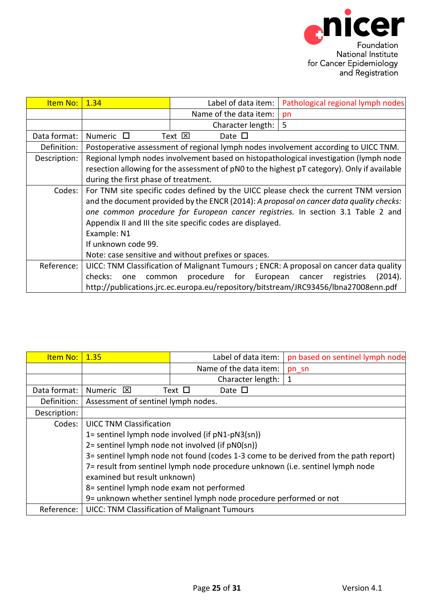<span id="page-24-0"></span>

| Item No:     | 1.34                                                                                    | Label of data item:                                  | Pathological regional lymph nodes                                                           |  |  |  |
|--------------|-----------------------------------------------------------------------------------------|------------------------------------------------------|---------------------------------------------------------------------------------------------|--|--|--|
|              |                                                                                         | Name of the data item:                               | pn                                                                                          |  |  |  |
|              |                                                                                         | Character length:                                    | 5                                                                                           |  |  |  |
| Data format: | <b>Numeric</b><br>$\Box$                                                                | Text ⊠<br>Date $\square$                             |                                                                                             |  |  |  |
| Definition:  |                                                                                         |                                                      | Postoperative assessment of regional lymph nodes involvement according to UICC TNM.         |  |  |  |
| Description: |                                                                                         |                                                      | Regional lymph nodes involvement based on histopathological investigation (lymph node       |  |  |  |
|              |                                                                                         |                                                      | resection allowing for the assessment of pN0 to the highest pT category). Only if available |  |  |  |
|              | during the first phase of treatment.                                                    |                                                      |                                                                                             |  |  |  |
| Codes:       | For TNM site specific codes defined by the UICC please check the current TNM version    |                                                      |                                                                                             |  |  |  |
|              | and the document provided by the ENCR (2014): A proposal on cancer data quality checks: |                                                      |                                                                                             |  |  |  |
|              | one common procedure for European cancer registries. In section 3.1 Table 2 and         |                                                      |                                                                                             |  |  |  |
|              | Appendix II and III the site specific codes are displayed.                              |                                                      |                                                                                             |  |  |  |
|              | Example: N1                                                                             |                                                      |                                                                                             |  |  |  |
|              | If unknown code 99.                                                                     |                                                      |                                                                                             |  |  |  |
|              |                                                                                         | Note: case sensitive and without prefixes or spaces. |                                                                                             |  |  |  |
| Reference:   |                                                                                         |                                                      | UICC: TNM Classification of Malignant Tumours ; ENCR: A proposal on cancer data quality     |  |  |  |
|              | checks:<br>common<br>one                                                                | procedure for European                               | (2014).<br>registries<br>cancer                                                             |  |  |  |
|              |                                                                                         |                                                      | http://publications.jrc.ec.europa.eu/repository/bitstream/JRC93456/lbna27008enn.pdf         |  |  |  |

<span id="page-24-1"></span>

| Item No:     | 1.35                                                                                 |                | Label of data item:                                               | pn based on sentinel lymph node |  |
|--------------|--------------------------------------------------------------------------------------|----------------|-------------------------------------------------------------------|---------------------------------|--|
|              |                                                                                      |                | Name of the data item:                                            | pn_sn                           |  |
|              |                                                                                      |                | Character length:                                                 | 1                               |  |
| Data format: | Numeric $\boxtimes$                                                                  | Text $\square$ | Date $\square$                                                    |                                 |  |
| Definition:  | Assessment of sentinel lymph nodes.                                                  |                |                                                                   |                                 |  |
| Description: |                                                                                      |                |                                                                   |                                 |  |
| Codes:       | <b>UICC TNM Classification</b>                                                       |                |                                                                   |                                 |  |
|              | 1= sentinel lymph node involved (if pN1-pN3(sn))                                     |                |                                                                   |                                 |  |
|              | 2= sentinel lymph node not involved (if pN0(sn))                                     |                |                                                                   |                                 |  |
|              | 3= sentinel lymph node not found (codes 1-3 come to be derived from the path report) |                |                                                                   |                                 |  |
|              | 7= result from sentinel lymph node procedure unknown (i.e. sentinel lymph node       |                |                                                                   |                                 |  |
|              | examined but result unknown)                                                         |                |                                                                   |                                 |  |
|              | 8= sentinel lymph node exam not performed                                            |                |                                                                   |                                 |  |
|              |                                                                                      |                | 9= unknown whether sentinel lymph node procedure performed or not |                                 |  |
| Reference:   | <b>UICC: TNM Classification of Malignant Tumours</b>                                 |                |                                                                   |                                 |  |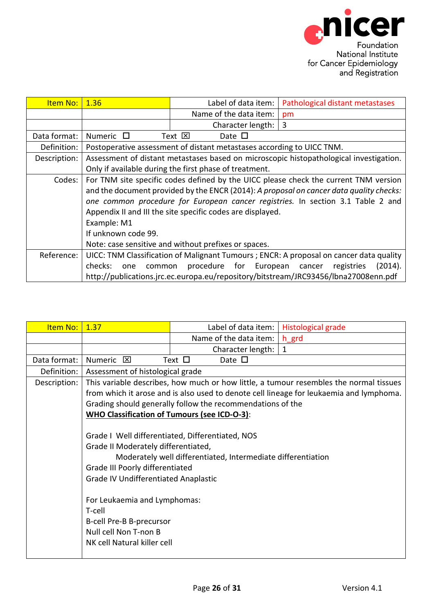<span id="page-25-0"></span>

| Item No:     | 1.36                                                                                    | Label of data item:                                                   | Pathological distant metastases                                                         |  |
|--------------|-----------------------------------------------------------------------------------------|-----------------------------------------------------------------------|-----------------------------------------------------------------------------------------|--|
|              |                                                                                         | Name of the data item:                                                | pm                                                                                      |  |
|              |                                                                                         | Character length:                                                     | 3                                                                                       |  |
| Data format: | Numeric $\Box$                                                                          | Text $\boxtimes$<br>Date $\Box$                                       |                                                                                         |  |
| Definition:  |                                                                                         | Postoperative assessment of distant metastases according to UICC TNM. |                                                                                         |  |
| Description: |                                                                                         |                                                                       | Assessment of distant metastases based on microscopic histopathological investigation.  |  |
|              |                                                                                         | Only if available during the first phase of treatment.                |                                                                                         |  |
| Codes:       | For TNM site specific codes defined by the UICC please check the current TNM version    |                                                                       |                                                                                         |  |
|              | and the document provided by the ENCR (2014): A proposal on cancer data quality checks: |                                                                       |                                                                                         |  |
|              | one common procedure for European cancer registries. In section 3.1 Table 2 and         |                                                                       |                                                                                         |  |
|              | Appendix II and III the site specific codes are displayed.                              |                                                                       |                                                                                         |  |
|              | Example: M1                                                                             |                                                                       |                                                                                         |  |
|              | If unknown code 99.                                                                     |                                                                       |                                                                                         |  |
|              | Note: case sensitive and without prefixes or spaces.                                    |                                                                       |                                                                                         |  |
| Reference:   |                                                                                         |                                                                       | UICC: TNM Classification of Malignant Tumours ; ENCR: A proposal on cancer data quality |  |
|              | checks:<br>one<br>common                                                                | procedure for European                                                | (2014).<br>registries<br>cancer                                                         |  |
|              |                                                                                         |                                                                       | http://publications.jrc.ec.europa.eu/repository/bitstream/JRC93456/lbna27008enn.pdf     |  |

<span id="page-25-1"></span>

| Item No:     | 1.37                                                         | Label of data item:                                        | Histological grade                                                                      |  |  |
|--------------|--------------------------------------------------------------|------------------------------------------------------------|-----------------------------------------------------------------------------------------|--|--|
|              |                                                              | Name of the data item: $ h $ grd                           |                                                                                         |  |  |
|              |                                                              | Character length: $ 1$                                     |                                                                                         |  |  |
| Data format: | Numeric <b>区</b>                                             | Text $\Box$<br>Date $\square$                              |                                                                                         |  |  |
| Definition:  | Assessment of histological grade                             |                                                            |                                                                                         |  |  |
| Description: |                                                              |                                                            | This variable describes, how much or how little, a tumour resembles the normal tissues  |  |  |
|              |                                                              |                                                            | from which it arose and is also used to denote cell lineage for leukaemia and lymphoma. |  |  |
|              |                                                              | Grading should generally follow the recommendations of the |                                                                                         |  |  |
|              | <b>WHO Classification of Tumours (see ICD-O-3):</b>          |                                                            |                                                                                         |  |  |
|              |                                                              |                                                            |                                                                                         |  |  |
|              | Grade I Well differentiated, Differentiated, NOS             |                                                            |                                                                                         |  |  |
|              | Grade II Moderately differentiated,                          |                                                            |                                                                                         |  |  |
|              | Moderately well differentiated, Intermediate differentiation |                                                            |                                                                                         |  |  |
|              | Grade III Poorly differentiated                              |                                                            |                                                                                         |  |  |
|              | <b>Grade IV Undifferentiated Anaplastic</b>                  |                                                            |                                                                                         |  |  |
|              |                                                              |                                                            |                                                                                         |  |  |
|              | For Leukaemia and Lymphomas:                                 |                                                            |                                                                                         |  |  |
|              | T-cell                                                       |                                                            |                                                                                         |  |  |
|              | B-cell Pre-B B-precursor                                     |                                                            |                                                                                         |  |  |
|              | Null cell Non T-non B                                        |                                                            |                                                                                         |  |  |
|              | NK cell Natural killer cell                                  |                                                            |                                                                                         |  |  |
|              |                                                              |                                                            |                                                                                         |  |  |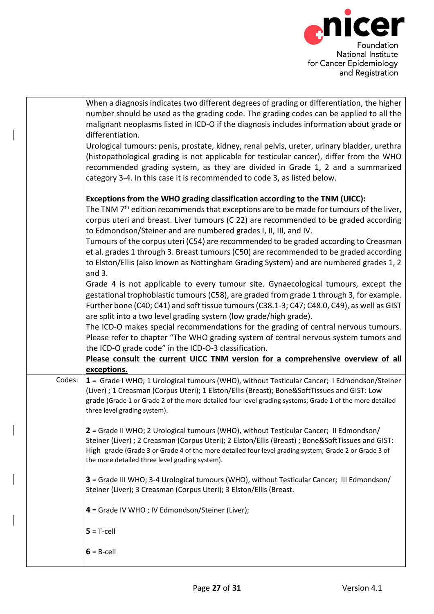

|        | When a diagnosis indicates two different degrees of grading or differentiation, the higher<br>number should be used as the grading code. The grading codes can be applied to all the<br>malignant neoplasms listed in ICD-O if the diagnosis includes information about grade or<br>differentiation.<br>Urological tumours: penis, prostate, kidney, renal pelvis, ureter, urinary bladder, urethra<br>(histopathological grading is not applicable for testicular cancer), differ from the WHO<br>recommended grading system, as they are divided in Grade 1, 2 and a summarized<br>category 3-4. In this case it is recommended to code 3, as listed below.                |
|--------|------------------------------------------------------------------------------------------------------------------------------------------------------------------------------------------------------------------------------------------------------------------------------------------------------------------------------------------------------------------------------------------------------------------------------------------------------------------------------------------------------------------------------------------------------------------------------------------------------------------------------------------------------------------------------|
|        | Exceptions from the WHO grading classification according to the TNM (UICC):<br>The TNM 7 <sup>th</sup> edition recommends that exceptions are to be made for tumours of the liver,<br>corpus uteri and breast. Liver tumours (C 22) are recommended to be graded according<br>to Edmondson/Steiner and are numbered grades I, II, III, and IV.<br>Tumours of the corpus uteri (C54) are recommended to be graded according to Creasman<br>et al. grades 1 through 3. Breast tumours (C50) are recommended to be graded according<br>to Elston/Ellis (also known as Nottingham Grading System) and are numbered grades 1, 2<br>and $3.$                                       |
|        | Grade 4 is not applicable to every tumour site. Gynaecological tumours, except the<br>gestational trophoblastic tumours (C58), are graded from grade 1 through 3, for example.<br>Further bone (C40; C41) and soft tissue tumours (C38.1-3; C47; C48.0, C49), as well as GIST<br>are split into a two level grading system (low grade/high grade).<br>The ICD-O makes special recommendations for the grading of central nervous tumours.<br>Please refer to chapter "The WHO grading system of central nervous system tumors and<br>the ICD-O grade code" in the ICD-O-3 classification.<br>Please consult the current UICC TNM version for a comprehensive overview of all |
| Codes: | exceptions.<br>1 = Grade I WHO; 1 Urological tumours (WHO), without Testicular Cancer; I Edmondson/Steiner<br>(Liver) ; 1 Creasman (Corpus Uteri); 1 Elston/Ellis (Breast); Bone&SoftTissues and GIST: Low<br>grade (Grade 1 or Grade 2 of the more detailed four level grading systems; Grade 1 of the more detailed<br>three level grading system).                                                                                                                                                                                                                                                                                                                        |
|        | 2 = Grade II WHO; 2 Urological tumours (WHO), without Testicular Cancer; II Edmondson/<br>Steiner (Liver) ; 2 Creasman (Corpus Uteri); 2 Elston/Ellis (Breast) ; Bone&SoftTissues and GIST:<br>High grade (Grade 3 or Grade 4 of the more detailed four level grading system; Grade 2 or Grade 3 of<br>the more detailed three level grading system).                                                                                                                                                                                                                                                                                                                        |
|        | 3 = Grade III WHO; 3-4 Urological tumours (WHO), without Testicular Cancer; III Edmondson/<br>Steiner (Liver); 3 Creasman (Corpus Uteri); 3 Elston/Ellis (Breast.                                                                                                                                                                                                                                                                                                                                                                                                                                                                                                            |
|        | 4 = Grade IV WHO; IV Edmondson/Steiner (Liver);                                                                                                                                                                                                                                                                                                                                                                                                                                                                                                                                                                                                                              |
|        | $5 = T$ -cell                                                                                                                                                                                                                                                                                                                                                                                                                                                                                                                                                                                                                                                                |
|        | $6 = B$ -cell                                                                                                                                                                                                                                                                                                                                                                                                                                                                                                                                                                                                                                                                |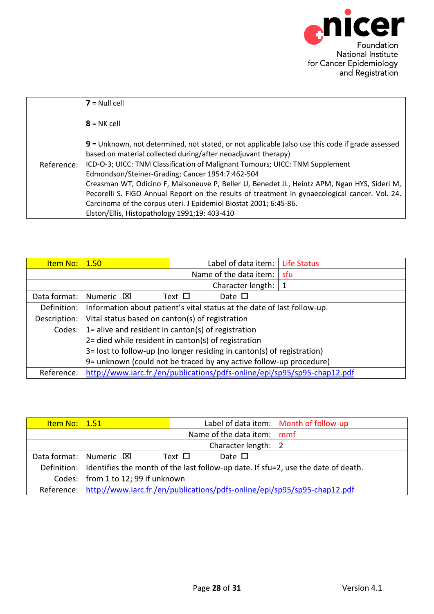<span id="page-27-0"></span>

|            | $7 =$ Null cell                                                                                  |
|------------|--------------------------------------------------------------------------------------------------|
|            | $8 = NK$ cell                                                                                    |
|            | 9 = Unknown, not determined, not stated, or not applicable (also use this code if grade assessed |
|            | based on material collected during/after neoadjuvant therapy)                                    |
| Reference: | ICD-O-3; UICC: TNM Classification of Malignant Tumours; UICC: TNM Supplement                     |
|            | Edmondson/Steiner-Grading; Cancer 1954:7:462-504                                                 |
|            | Creasman WT, Odicino F, Maisoneuve P, Beller U, Benedet JL, Heintz APM, Ngan HYS, Sideri M,      |
|            | Pecorelli S. FIGO Annual Report on the results of treatment in gynaecological cancer. Vol. 24.   |
|            | Carcinoma of the corpus uteri. J Epidemiol Biostat 2001; 6:45-86.                                |
|            | Elston/Ellis, Histopathology 1991;19: 403-410                                                    |

| <b>Item No:</b> | 1.50                                                                    | Label of data item:                                                      | Life Status |  |
|-----------------|-------------------------------------------------------------------------|--------------------------------------------------------------------------|-------------|--|
|                 |                                                                         | Name of the data item:                                                   | sfu         |  |
|                 |                                                                         | Character length:                                                        |             |  |
| Data format:    | Numeric <b>X</b>                                                        | Text $\square$<br>Date $\square$                                         |             |  |
| Definition:     | Information about patient's vital status at the date of last follow-up. |                                                                          |             |  |
| Description:    | Vital status based on canton(s) of registration                         |                                                                          |             |  |
| Codes:          | 1= alive and resident in canton(s) of registration                      |                                                                          |             |  |
|                 | 2= died while resident in canton(s) of registration                     |                                                                          |             |  |
|                 | 3= lost to follow-up (no longer residing in canton(s) of registration)  |                                                                          |             |  |
|                 | 9= unknown (could not be traced by any active follow-up procedure)      |                                                                          |             |  |
| Reference:      |                                                                         | http://www.iarc.fr./en/publications/pdfs-online/epi/sp95/sp95-chap12.pdf |             |  |

<span id="page-27-1"></span>

| <u>Item No:   1.51</u> |                                                                                                 |                            | Label of data item:   Month of follow-up |  |
|------------------------|-------------------------------------------------------------------------------------------------|----------------------------|------------------------------------------|--|
|                        |                                                                                                 | Name of the data item: mmf |                                          |  |
|                        |                                                                                                 | Character length: $ 2$     |                                          |  |
|                        | Data format:   Numeric $\boxtimes$                                                              | Date $\Box$<br>Text $\Box$ |                                          |  |
|                        | Definition:   Identifies the month of the last follow-up date. If sfu=2, use the date of death. |                            |                                          |  |
|                        | Codes:   from 1 to 12; 99 if unknown                                                            |                            |                                          |  |
|                        | Reference:   http://www.iarc.fr./en/publications/pdfs-online/epi/sp95/sp95-chap12.pdf           |                            |                                          |  |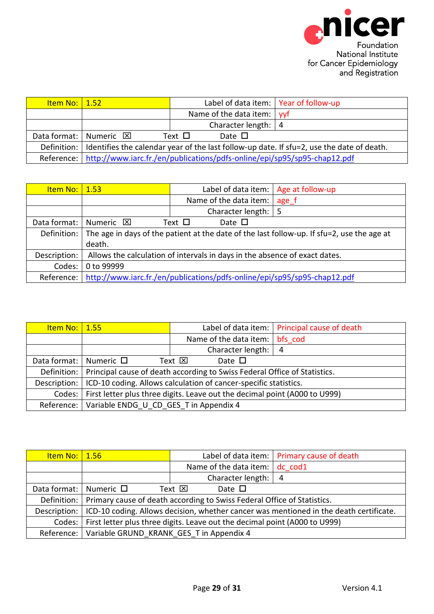<span id="page-28-1"></span><span id="page-28-0"></span>

| <u>Item No:   1.52  </u> |                                                                                                               | Label of data item:   Year of follow-up |                                                                                       |  |  |  |
|--------------------------|---------------------------------------------------------------------------------------------------------------|-----------------------------------------|---------------------------------------------------------------------------------------|--|--|--|
|                          |                                                                                                               | Name of the data item:   yyf            |                                                                                       |  |  |  |
|                          |                                                                                                               | Character length: $ 4 $                 |                                                                                       |  |  |  |
|                          | Data format:   Numeric $\boxtimes$                                                                            | Text $\Box$<br>Date $\square$           |                                                                                       |  |  |  |
|                          | Definition: $\vert$ Identifies the calendar year of the last follow-up date. If sfu=2, use the date of death. |                                         |                                                                                       |  |  |  |
|                          |                                                                                                               |                                         | Reference:   http://www.iarc.fr./en/publications/pdfs-online/epi/sp95/sp95-chap12.pdf |  |  |  |

| <u>Item No:   1.53</u> |                                                                                            |             | Label of data item:   Age at follow-up |       |
|------------------------|--------------------------------------------------------------------------------------------|-------------|----------------------------------------|-------|
|                        |                                                                                            |             | Name of the data item:                 | age f |
|                        |                                                                                            |             | Character length: $\vert 5 \rangle$    |       |
| Data format:           | Numeric <b>⊠</b>                                                                           | Text $\Box$ | Date $\Box$                            |       |
| Definition:            | The age in days of the patient at the date of the last follow-up. If sfu=2, use the age at |             |                                        |       |
|                        | death.                                                                                     |             |                                        |       |
| Description:           | Allows the calculation of intervals in days in the absence of exact dates.                 |             |                                        |       |
| Codes:                 | 0 to 99999                                                                                 |             |                                        |       |
| Reference:             | http://www.iarc.fr./en/publications/pdfs-online/epi/sp95/sp95-chap12.pdf                   |             |                                        |       |

<span id="page-28-2"></span>

| <u>Item No:   1.55</u>      |                                                                                         |                                     | Label of data item:   Principal cause of death |  |
|-----------------------------|-----------------------------------------------------------------------------------------|-------------------------------------|------------------------------------------------|--|
|                             |                                                                                         | Name of the data item:              | bfs cod                                        |  |
|                             |                                                                                         | Character length: $\vert 4 \rangle$ |                                                |  |
| Data format: Numeric $\Box$ |                                                                                         | Text $\boxtimes$<br>Date $\square$  |                                                |  |
|                             | Definition:   Principal cause of death according to Swiss Federal Office of Statistics. |                                     |                                                |  |
| Description:                | ICD-10 coding. Allows calculation of cancer-specific statistics.                        |                                     |                                                |  |
| Codes: I                    | First letter plus three digits. Leave out the decimal point (A000 to U999)              |                                     |                                                |  |
| Reference:                  | Variable ENDG U CD GES T in Appendix 4                                                  |                                     |                                                |  |

<span id="page-28-3"></span>

| <u>Item No:   1.56</u> |                                                                                        | Label of data item:   Primary cause of death |                |  |
|------------------------|----------------------------------------------------------------------------------------|----------------------------------------------|----------------|--|
|                        |                                                                                        | Name of the data item: $\vert$ dc cod1       |                |  |
|                        |                                                                                        | Character length:                            | $\overline{4}$ |  |
| Data format:           | Numeric $\Box$<br>Date $\square$<br>Text $\boxtimes$                                   |                                              |                |  |
|                        | Definition:   Primary cause of death according to Swiss Federal Office of Statistics.  |                                              |                |  |
| Description:           | ICD-10 coding. Allows decision, whether cancer was mentioned in the death certificate. |                                              |                |  |
|                        | Codes:   First letter plus three digits. Leave out the decimal point (A000 to U999)    |                                              |                |  |
|                        | Reference:   Variable GRUND KRANK GES T in Appendix 4                                  |                                              |                |  |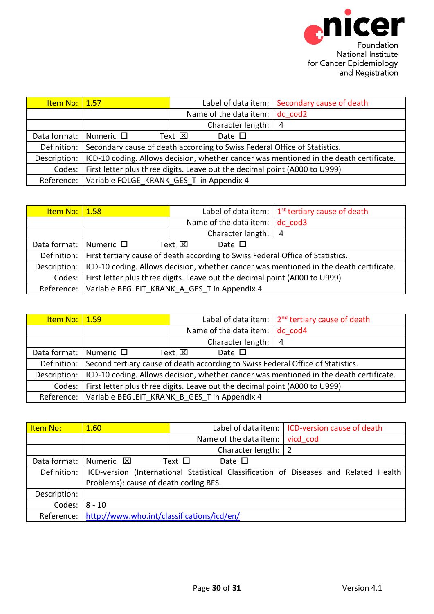<span id="page-29-1"></span><span id="page-29-0"></span>

| <u>Item No:   1.57</u>        |                                                                                        |                                        | Label of data item:   Secondary cause of death |  |
|-------------------------------|----------------------------------------------------------------------------------------|----------------------------------------|------------------------------------------------|--|
|                               |                                                                                        | Name of the data item: $\vert$ dc cod2 |                                                |  |
|                               |                                                                                        | Character length: $\vert 4 \rangle$    |                                                |  |
| Data format:   Numeric $\Box$ |                                                                                        | Text $\boxtimes$<br>Date $\square$     |                                                |  |
| Definition:                   | Secondary cause of death according to Swiss Federal Office of Statistics.              |                                        |                                                |  |
| Description:                  | ICD-10 coding. Allows decision, whether cancer was mentioned in the death certificate. |                                        |                                                |  |
| Codes: I                      | First letter plus three digits. Leave out the decimal point (A000 to U999)             |                                        |                                                |  |
| Reference:                    | Variable FOLGE_KRANK_GES_T in Appendix 4                                               |                                        |                                                |  |

| <u>Item No:   1.58</u>        |                                                                                              |                                    | Label of data item: $\frac{1}{1}$ 1 <sup>st</sup> tertiary cause of death |  |
|-------------------------------|----------------------------------------------------------------------------------------------|------------------------------------|---------------------------------------------------------------------------|--|
|                               |                                                                                              | Name of the data item:   dc cod3   |                                                                           |  |
|                               |                                                                                              | Character length: $ 4$             |                                                                           |  |
| Data format:   Numeric $\Box$ |                                                                                              | Text $\boxtimes$<br>Date $\square$ |                                                                           |  |
|                               | Definition:   First tertiary cause of death according to Swiss Federal Office of Statistics. |                                    |                                                                           |  |
| Description:                  | ICD-10 coding. Allows decision, whether cancer was mentioned in the death certificate.       |                                    |                                                                           |  |
|                               | Codes:   First letter plus three digits. Leave out the decimal point (A000 to U999)          |                                    |                                                                           |  |
|                               | Reference:   Variable BEGLEIT KRANK A GES T in Appendix 4                                    |                                    |                                                                           |  |

<span id="page-29-2"></span>

| <u>Item No:   1.59</u>        |                                                                                             |                                        | Label of data item: $\frac{1}{2}$ <sup>nd</sup> tertiary cause of death |  |
|-------------------------------|---------------------------------------------------------------------------------------------|----------------------------------------|-------------------------------------------------------------------------|--|
|                               |                                                                                             | Name of the data item: $\vert$ dc cod4 |                                                                         |  |
|                               |                                                                                             | Character length:                      | $\overline{4}$                                                          |  |
| Data format:   Numeric $\Box$ | Text $\boxtimes$<br>Date $\square$                                                          |                                        |                                                                         |  |
|                               | Definition: Second tertiary cause of death according to Swiss Federal Office of Statistics. |                                        |                                                                         |  |
| Description:                  | ICD-10 coding. Allows decision, whether cancer was mentioned in the death certificate.      |                                        |                                                                         |  |
| Codes:                        | First letter plus three digits. Leave out the decimal point (A000 to U999)                  |                                        |                                                                         |  |
|                               | Reference:   Variable BEGLEIT KRANK B GES T in Appendix 4                                   |                                        |                                                                         |  |

<span id="page-29-3"></span>

| Item No:     | 1.60                                                                                 |                       |                        | Label of data item:   ICD-version cause of death |  |
|--------------|--------------------------------------------------------------------------------------|-----------------------|------------------------|--------------------------------------------------|--|
|              |                                                                                      |                       | Name of the data item: | vicd cod                                         |  |
|              |                                                                                      | Character length:   2 |                        |                                                  |  |
| Data format: | Numeric <b>X</b>                                                                     | Text $\Box$           | Date $\Box$            |                                                  |  |
| Definition:  | ICD-version (International Statistical Classification of Diseases and Related Health |                       |                        |                                                  |  |
|              | Problems): cause of death coding BFS.                                                |                       |                        |                                                  |  |
| Description: |                                                                                      |                       |                        |                                                  |  |
| Codes:       | $8 - 10$                                                                             |                       |                        |                                                  |  |
| Reference:   | http://www.who.int/classifications/icd/en/                                           |                       |                        |                                                  |  |